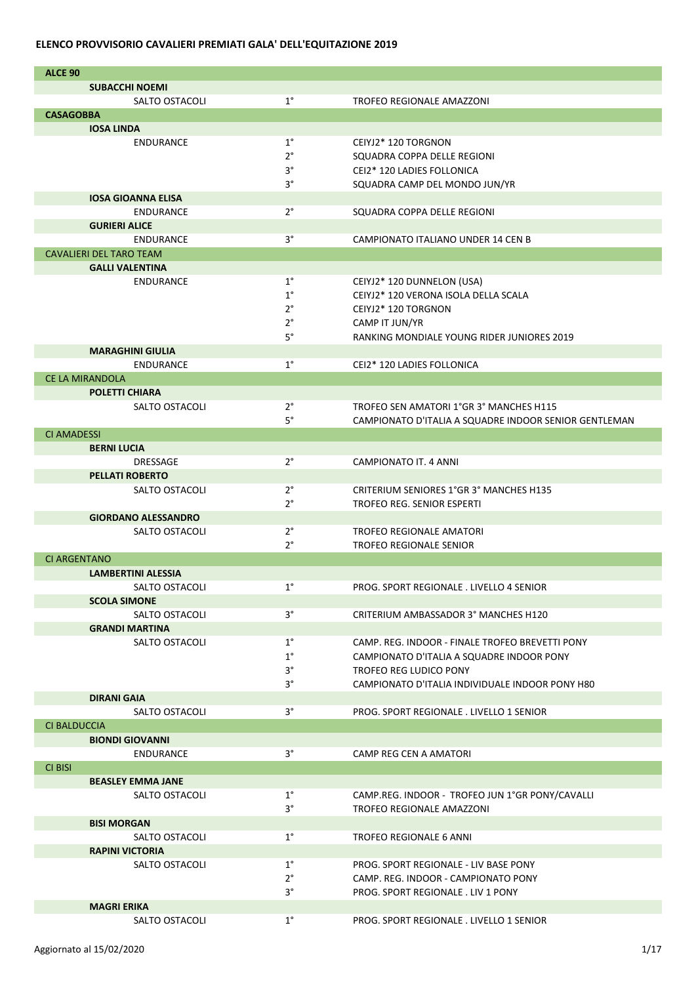## **ELENCO PROVVISORIO CAVALIERI PREMIATI GALA' DELL'EQUITAZIONE 2019**

| <b>ALCE 90</b>                 |             |                                                       |
|--------------------------------|-------------|-------------------------------------------------------|
| <b>SUBACCHI NOEMI</b>          |             |                                                       |
| SALTO OSTACOLI                 | $1^{\circ}$ | TROFEO REGIONALE AMAZZONI                             |
| <b>CASAGOBBA</b>               |             |                                                       |
| <b>IOSA LINDA</b>              |             |                                                       |
| <b>ENDURANCE</b>               | $1^{\circ}$ | CEIYJ2* 120 TORGNON                                   |
|                                | $2^{\circ}$ | SQUADRA COPPA DELLE REGIONI                           |
|                                | $3^{\circ}$ | CEI2* 120 LADIES FOLLONICA                            |
|                                | $3^{\circ}$ |                                                       |
|                                |             | SQUADRA CAMP DEL MONDO JUN/YR                         |
| <b>IOSA GIOANNA ELISA</b>      |             |                                                       |
| <b>ENDURANCE</b>               | $2^{\circ}$ | SQUADRA COPPA DELLE REGIONI                           |
| <b>GURIERI ALICE</b>           |             |                                                       |
| <b>ENDURANCE</b>               | $3^{\circ}$ | CAMPIONATO ITALIANO UNDER 14 CEN B                    |
| <b>CAVALIERI DEL TARO TEAM</b> |             |                                                       |
| <b>GALLI VALENTINA</b>         |             |                                                       |
| <b>ENDURANCE</b>               | $1^{\circ}$ | CEIYJ2* 120 DUNNELON (USA)                            |
|                                | $1^{\circ}$ | CEIYJ2* 120 VERONA ISOLA DELLA SCALA                  |
|                                | $2^{\circ}$ | CEIYJ2* 120 TORGNON                                   |
|                                | $2^{\circ}$ | CAMP IT JUN/YR                                        |
|                                | $5^{\circ}$ | <b>RANKING MONDIALE YOUNG RIDER JUNIORES 2019</b>     |
| <b>MARAGHINI GIULIA</b>        |             |                                                       |
| <b>ENDURANCE</b>               | $1^{\circ}$ | CEI2* 120 LADIES FOLLONICA                            |
| <b>CE LA MIRANDOLA</b>         |             |                                                       |
| <b>POLETTI CHIARA</b>          |             |                                                       |
| <b>SALTO OSTACOLI</b>          | $2^{\circ}$ | TROFEO SEN AMATORI 1°GR 3° MANCHES H115               |
|                                |             |                                                       |
|                                | $5^{\circ}$ | CAMPIONATO D'ITALIA A SQUADRE INDOOR SENIOR GENTLEMAN |
| <b>CI AMADESSI</b>             |             |                                                       |
| <b>BERNI LUCIA</b>             |             |                                                       |
| <b>DRESSAGE</b>                | $2^{\circ}$ | CAMPIONATO IT. 4 ANNI                                 |
| <b>PELLATI ROBERTO</b>         |             |                                                       |
| SALTO OSTACOLI                 | $2^{\circ}$ | CRITERIUM SENIORES 1°GR 3° MANCHES H135               |
|                                | $2^{\circ}$ | <b>TROFEO REG. SENIOR ESPERTI</b>                     |
| <b>GIORDANO ALESSANDRO</b>     |             |                                                       |
| SALTO OSTACOLI                 | $2^{\circ}$ | <b>TROFEO REGIONALE AMATORI</b>                       |
|                                | $2^{\circ}$ | <b>TROFEO REGIONALE SENIOR</b>                        |
| <b>CI ARGENTANO</b>            |             |                                                       |
| <b>LAMBERTINI ALESSIA</b>      |             |                                                       |
| SALTO OSTACOLI                 | $1^{\circ}$ | PROG. SPORT REGIONALE . LIVELLO 4 SENIOR              |
| <b>SCOLA SIMONE</b>            |             |                                                       |
| SALTO OSTACOLI                 | $3^\circ$   | CRITERIUM AMBASSADOR 3° MANCHES H120                  |
| <b>GRANDI MARTINA</b>          |             |                                                       |
| SALTO OSTACOLI                 | $1^{\circ}$ | CAMP. REG. INDOOR - FINALE TROFEO BREVETTI PONY       |
|                                | $1^{\circ}$ | CAMPIONATO D'ITALIA A SQUADRE INDOOR PONY             |
|                                | $3^{\circ}$ | TROFEO REG LUDICO PONY                                |
|                                |             |                                                       |
|                                | $3^{\circ}$ | CAMPIONATO D'ITALIA INDIVIDUALE INDOOR PONY H80       |
| <b>DIRANI GAIA</b>             |             |                                                       |
| SALTO OSTACOLI                 | $3^{\circ}$ | PROG. SPORT REGIONALE . LIVELLO 1 SENIOR              |
| <b>CI BALDUCCIA</b>            |             |                                                       |
| <b>BIONDI GIOVANNI</b>         |             |                                                       |
| <b>ENDURANCE</b>               | $3^{\circ}$ | CAMP REG CEN A AMATORI                                |
| <b>CI BISI</b>                 |             |                                                       |
| <b>BEASLEY EMMA JANE</b>       |             |                                                       |
| SALTO OSTACOLI                 | $1^{\circ}$ | CAMP.REG. INDOOR - TROFEO JUN 1°GR PONY/CAVALLI       |
|                                | $3^{\circ}$ | TROFEO REGIONALE AMAZZONI                             |
| <b>BISI MORGAN</b>             |             |                                                       |
| SALTO OSTACOLI                 | $1^{\circ}$ | TROFEO REGIONALE 6 ANNI                               |
| <b>RAPINI VICTORIA</b>         |             |                                                       |
| SALTO OSTACOLI                 | $1^{\circ}$ | PROG. SPORT REGIONALE - LIV BASE PONY                 |
|                                | $2^{\circ}$ | CAMP. REG. INDOOR - CAMPIONATO PONY                   |
|                                | $3^{\circ}$ | PROG. SPORT REGIONALE . LIV 1 PONY                    |
| <b>MAGRI ERIKA</b>             |             |                                                       |
| SALTO OSTACOLI                 | $1^{\circ}$ | PROG. SPORT REGIONALE . LIVELLO 1 SENIOR              |
|                                |             |                                                       |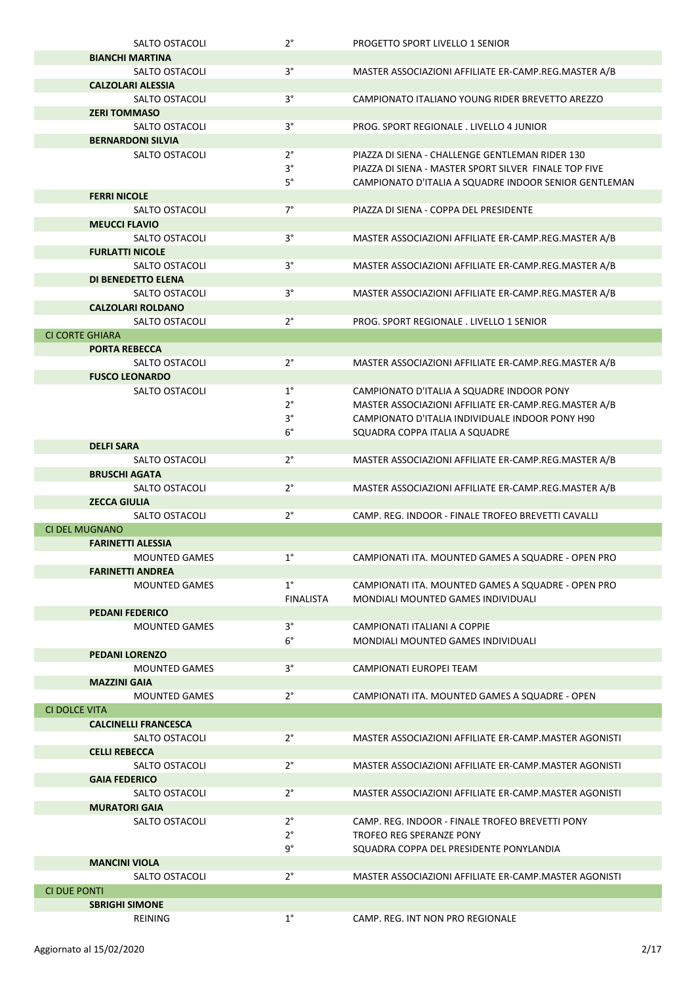|                             | $2^{\circ}$      | PROGETTO SPORT LIVELLO 1 SENIOR                       |
|-----------------------------|------------------|-------------------------------------------------------|
| <b>BIANCHI MARTINA</b>      |                  |                                                       |
| <b>SALTO OSTACOLI</b>       | $3^{\circ}$      | MASTER ASSOCIAZIONI AFFILIATE ER-CAMP.REG.MASTER A/B  |
| <b>CALZOLARI ALESSIA</b>    |                  |                                                       |
| <b>SALTO OSTACOLI</b>       | $3^{\circ}$      | CAMPIONATO ITALIANO YOUNG RIDER BREVETTO AREZZO       |
| <b>ZERI TOMMASO</b>         |                  |                                                       |
| <b>SALTO OSTACOLI</b>       | $3^{\circ}$      | PROG. SPORT REGIONALE, LIVELLO 4 JUNIOR               |
|                             |                  |                                                       |
| <b>BERNARDONI SILVIA</b>    |                  |                                                       |
| <b>SALTO OSTACOLI</b>       | $2^{\circ}$      | PIAZZA DI SIENA - CHALLENGE GENTLEMAN RIDER 130       |
|                             | $3^{\circ}$      | PIAZZA DI SIENA - MASTER SPORT SILVER FINALE TOP FIVE |
|                             | $5^{\circ}$      | CAMPIONATO D'ITALIA A SOUADRE INDOOR SENIOR GENTLEMAN |
| <b>FERRI NICOLE</b>         |                  |                                                       |
| <b>SALTO OSTACOLI</b>       | $7^\circ$        | PIAZZA DI SIENA - COPPA DEL PRESIDENTE                |
| <b>MEUCCI FLAVIO</b>        |                  |                                                       |
| <b>SALTO OSTACOLI</b>       | $3^{\circ}$      | MASTER ASSOCIAZIONI AFFILIATE ER-CAMP.REG.MASTER A/B  |
| <b>FURLATTI NICOLE</b>      |                  |                                                       |
| <b>SALTO OSTACOLI</b>       | $3^{\circ}$      | MASTER ASSOCIAZIONI AFFILIATE ER-CAMP.REG.MASTER A/B  |
| DI BENEDETTO ELENA          |                  |                                                       |
| <b>SALTO OSTACOLI</b>       | $3^{\circ}$      | MASTER ASSOCIAZIONI AFFILIATE ER-CAMP.REG.MASTER A/B  |
| <b>CALZOLARI ROLDANO</b>    |                  |                                                       |
| <b>SALTO OSTACOLI</b>       | $2^{\circ}$      | PROG. SPORT REGIONALE . LIVELLO 1 SENIOR              |
| <b>CI CORTE GHIARA</b>      |                  |                                                       |
| <b>PORTA REBECCA</b>        |                  |                                                       |
| <b>SALTO OSTACOLI</b>       | $2^{\circ}$      | MASTER ASSOCIAZIONI AFFILIATE ER-CAMP.REG.MASTER A/B  |
| <b>FUSCO LEONARDO</b>       |                  |                                                       |
| SALTO OSTACOLI              | $1^{\circ}$      | CAMPIONATO D'ITALIA A SQUADRE INDOOR PONY             |
|                             | $2^{\circ}$      | MASTER ASSOCIAZIONI AFFILIATE ER-CAMP.REG.MASTER A/B  |
|                             | $3^{\circ}$      | CAMPIONATO D'ITALIA INDIVIDUALE INDOOR PONY H90       |
|                             | $6^{\circ}$      |                                                       |
|                             |                  | SQUADRA COPPA ITALIA A SQUADRE                        |
| <b>DELFI SARA</b>           |                  |                                                       |
| <b>SALTO OSTACOLI</b>       | $2^{\circ}$      | MASTER ASSOCIAZIONI AFFILIATE ER-CAMP.REG.MASTER A/B  |
| <b>BRUSCHI AGATA</b>        |                  |                                                       |
| <b>SALTO OSTACOLI</b>       | $2^{\circ}$      | MASTER ASSOCIAZIONI AFFILIATE ER-CAMP.REG.MASTER A/B  |
| <b>ZECCA GIULIA</b>         |                  |                                                       |
| <b>SALTO OSTACOLI</b>       | $2^{\circ}$      | CAMP, REG. INDOOR - FINALE TROFEO BREVETTI CAVALLI    |
| <b>CI DEL MUGNANO</b>       |                  |                                                       |
| <b>FARINETTI ALESSIA</b>    |                  |                                                       |
| <b>MOUNTED GAMES</b>        | $1^{\circ}$      | CAMPIONATI ITA. MOUNTED GAMES A SQUADRE - OPEN PRO    |
| <b>FARINETTI ANDREA</b>     |                  |                                                       |
|                             |                  | CAMPIONATI ITA. MOUNTED GAMES A SQUADRE - OPEN PRO    |
| <b>MOUNTED GAMES</b>        | $1^{\circ}$      |                                                       |
|                             | <b>FINALISTA</b> | <b>MONDIALI MOUNTED GAMES INDIVIDUALI</b>             |
| <b>PEDANI FEDERICO</b>      |                  |                                                       |
| <b>MOUNTED GAMES</b>        | $3^{\circ}$      | CAMPIONATI ITALIANI A COPPIE                          |
|                             | $6^{\circ}$      | MONDIALI MOUNTED GAMES INDIVIDUALI                    |
| <b>PEDANI LORENZO</b>       |                  |                                                       |
| <b>MOUNTED GAMES</b>        | $3^{\circ}$      | CAMPIONATI EUROPEI TEAM                               |
| <b>MAZZINI GAIA</b>         |                  |                                                       |
| <b>MOUNTED GAMES</b>        | $2^{\circ}$      | CAMPIONATI ITA. MOUNTED GAMES A SQUADRE - OPEN        |
| <b>CI DOLCE VITA</b>        |                  |                                                       |
|                             |                  |                                                       |
| <b>CALCINELLI FRANCESCA</b> |                  |                                                       |
| SALTO OSTACOLI              | $2^{\circ}$      | MASTER ASSOCIAZIONI AFFILIATE ER-CAMP.MASTER AGONISTI |
| <b>CELLI REBECCA</b>        |                  |                                                       |
| SALTO OSTACOLI              | $2^{\circ}$      | MASTER ASSOCIAZIONI AFFILIATE ER-CAMP.MASTER AGONISTI |
| <b>GAIA FEDERICO</b>        |                  |                                                       |
| SALTO OSTACOLI              | $2^{\circ}$      | MASTER ASSOCIAZIONI AFFILIATE ER-CAMP.MASTER AGONISTI |
| <b>MURATORI GAIA</b>        |                  |                                                       |
| SALTO OSTACOLI              | $2^{\circ}$      | CAMP. REG. INDOOR - FINALE TROFEO BREVETTI PONY       |
|                             | $2^{\circ}$      | TROFEO REG SPERANZE PONY                              |
|                             | 9°               | SQUADRA COPPA DEL PRESIDENTE PONYLANDIA               |
| <b>MANCINI VIOLA</b>        |                  |                                                       |
| <b>SALTO OSTACOLI</b>       | $2^{\circ}$      | MASTER ASSOCIAZIONI AFFILIATE ER-CAMP.MASTER AGONISTI |
| <b>CI DUE PONTI</b>         |                  |                                                       |
| <b>SBRIGHI SIMONE</b>       | $1^{\circ}$      |                                                       |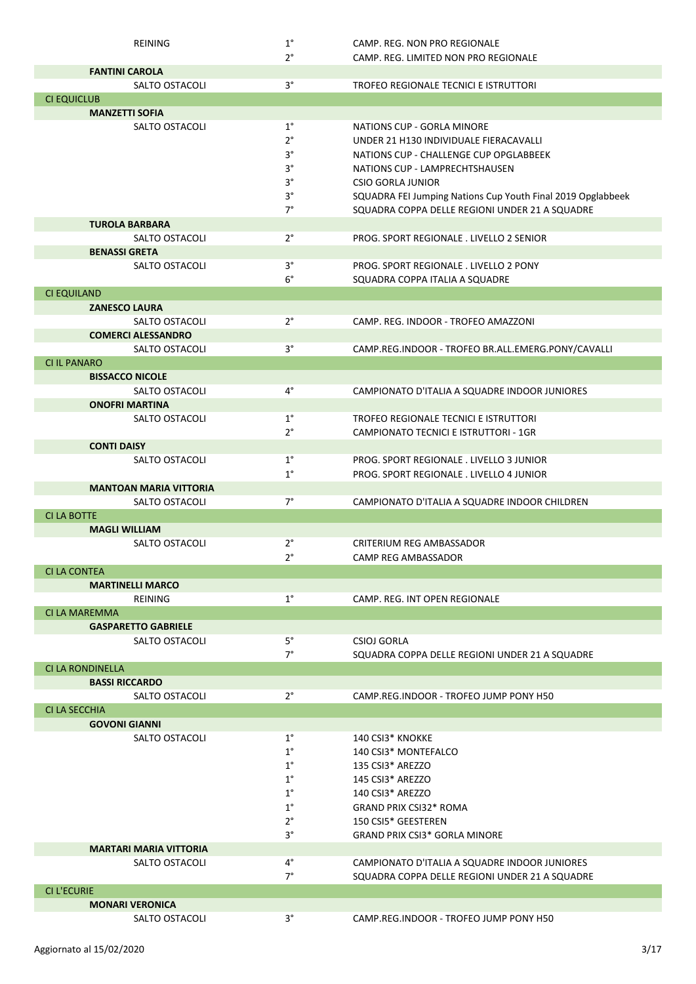| <b>REINING</b>                          | $1^{\circ}$                | CAMP. REG. NON PRO REGIONALE                                |
|-----------------------------------------|----------------------------|-------------------------------------------------------------|
|                                         | $2^{\circ}$                | CAMP. REG. LIMITED NON PRO REGIONALE                        |
| <b>FANTINI CAROLA</b><br>SALTO OSTACOLI | $3^\circ$                  | TROFEO REGIONALE TECNICI E ISTRUTTORI                       |
| <b>CI EQUICLUB</b>                      |                            |                                                             |
| <b>MANZETTI SOFIA</b>                   |                            |                                                             |
| SALTO OSTACOLI                          | $1^{\circ}$                | NATIONS CUP - GORLA MINORE                                  |
|                                         | $2^{\circ}$                | UNDER 21 H130 INDIVIDUALE FIERACAVALLI                      |
|                                         | $3^{\circ}$                | NATIONS CUP - CHALLENGE CUP OPGLABBEEK                      |
|                                         | $3^{\circ}$                | NATIONS CUP - LAMPRECHTSHAUSEN                              |
|                                         | $3^{\circ}$                | <b>CSIO GORLA JUNIOR</b>                                    |
|                                         | $3^{\circ}$                | SQUADRA FEI Jumping Nations Cup Youth Final 2019 Opglabbeek |
|                                         | $7^\circ$                  | SQUADRA COPPA DELLE REGIONI UNDER 21 A SQUADRE              |
| <b>TUROLA BARBARA</b>                   |                            |                                                             |
| SALTO OSTACOLI                          | $2^{\circ}$                | PROG. SPORT REGIONALE . LIVELLO 2 SENIOR                    |
| <b>BENASSI GRETA</b>                    |                            |                                                             |
| SALTO OSTACOLI                          | $3^{\circ}$                | PROG. SPORT REGIONALE, LIVELLO 2 PONY                       |
|                                         | $6^{\circ}$                | SQUADRA COPPA ITALIA A SQUADRE                              |
| <b>CI EQUILAND</b>                      |                            |                                                             |
| <b>ZANESCO LAURA</b>                    |                            |                                                             |
| <b>SALTO OSTACOLI</b>                   | $2^{\circ}$                | CAMP. REG. INDOOR - TROFEO AMAZZONI                         |
| <b>COMERCI ALESSANDRO</b>               |                            |                                                             |
| SALTO OSTACOLI                          | $3^{\circ}$                | CAMP.REG.INDOOR - TROFEO BR.ALL.EMERG.PONY/CAVALLI          |
| <b>CI IL PANARO</b>                     |                            |                                                             |
| <b>BISSACCO NICOLE</b>                  |                            |                                                             |
| <b>SALTO OSTACOLI</b>                   | $4^{\circ}$                | CAMPIONATO D'ITALIA A SQUADRE INDOOR JUNIORES               |
| <b>ONOFRI MARTINA</b>                   |                            |                                                             |
| SALTO OSTACOLI                          | $1^{\circ}$                | TROFEO REGIONALE TECNICI E ISTRUTTORI                       |
|                                         | $2^{\circ}$                | CAMPIONATO TECNICI E ISTRUTTORI - 1GR                       |
| <b>CONTI DAISY</b>                      |                            |                                                             |
| SALTO OSTACOLI                          | $1^{\circ}$<br>$1^{\circ}$ | PROG. SPORT REGIONALE . LIVELLO 3 JUNIOR                    |
| <b>MANTOAN MARIA VITTORIA</b>           |                            | PROG. SPORT REGIONALE . LIVELLO 4 JUNIOR                    |
| SALTO OSTACOLI                          | $7^\circ$                  | CAMPIONATO D'ITALIA A SQUADRE INDOOR CHILDREN               |
| <b>CI LA BOTTE</b>                      |                            |                                                             |
| <b>MAGLI WILLIAM</b>                    |                            |                                                             |
| SALTO OSTACOLI                          | $2^{\circ}$                | CRITERIUM REG AMBASSADOR                                    |
|                                         | $2^{\circ}$                | CAMP REG AMBASSADOR                                         |
| CI LA CONTEA                            |                            |                                                             |
| <b>MARTINELLI MARCO</b>                 |                            |                                                             |
| <b>REINING</b>                          | $1^{\circ}$                | CAMP. REG. INT OPEN REGIONALE                               |
| CI LA MAREMMA                           |                            |                                                             |
| <b>GASPARETTO GABRIELE</b>              |                            |                                                             |
| SALTO OSTACOLI                          | $5^\circ$                  | <b>CSIOJ GORLA</b>                                          |
|                                         | $7^{\circ}$                | SQUADRA COPPA DELLE REGIONI UNDER 21 A SQUADRE              |
| <b>CI LA RONDINELLA</b>                 |                            |                                                             |
| <b>BASSI RICCARDO</b>                   |                            |                                                             |
| SALTO OSTACOLI                          | $2^{\circ}$                | CAMP.REG.INDOOR - TROFEO JUMP PONY H50                      |
| <b>CI LA SECCHIA</b>                    |                            |                                                             |
| <b>GOVONI GIANNI</b>                    |                            |                                                             |
| SALTO OSTACOLI                          | $1^{\circ}$                | 140 CSI3* KNOKKE                                            |
|                                         | $1^{\circ}$                | 140 CSI3* MONTEFALCO                                        |
|                                         | $1^{\circ}$                | 135 CSI3* AREZZO                                            |
|                                         | $1^{\circ}$<br>$1^{\circ}$ | 145 CSI3* AREZZO                                            |
|                                         | $1^{\circ}$                | 140 CSI3* AREZZO                                            |
|                                         | $2^{\circ}$                | <b>GRAND PRIX CSI32* ROMA</b><br>150 CSI5* GEESTEREN        |
|                                         | $3^{\circ}$                | <b>GRAND PRIX CSI3* GORLA MINORE</b>                        |
| <b>MARTARI MARIA VITTORIA</b>           |                            |                                                             |
| SALTO OSTACOLI                          | $4^{\circ}$                | CAMPIONATO D'ITALIA A SQUADRE INDOOR JUNIORES               |
|                                         | $7^{\circ}$                | SQUADRA COPPA DELLE REGIONI UNDER 21 A SQUADRE              |
| <b>CIL'ECURIE</b>                       |                            |                                                             |
| <b>MONARI VERONICA</b>                  |                            |                                                             |
| SALTO OSTACOLI                          | $3^{\circ}$                | CAMP.REG.INDOOR - TROFEO JUMP PONY H50                      |
|                                         |                            |                                                             |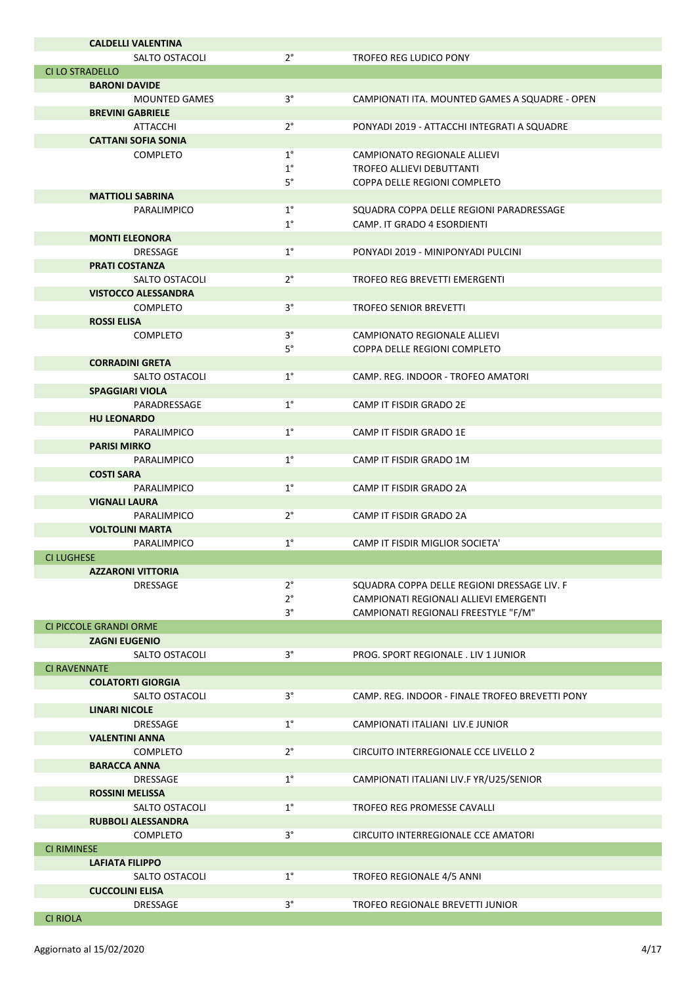| <b>CALDELLI VALENTINA</b>                       |             |                                                 |
|-------------------------------------------------|-------------|-------------------------------------------------|
| SALTO OSTACOLI                                  | $2^{\circ}$ | TROFEO REG LUDICO PONY                          |
| <b>CI LO STRADELLO</b>                          |             |                                                 |
| <b>BARONI DAVIDE</b>                            |             |                                                 |
| <b>MOUNTED GAMES</b>                            | $3^{\circ}$ | CAMPIONATI ITA. MOUNTED GAMES A SQUADRE - OPEN  |
| <b>BREVINI GABRIELE</b>                         |             |                                                 |
| <b>ATTACCHI</b>                                 | $2^{\circ}$ | PONYADI 2019 - ATTACCHI INTEGRATI A SQUADRE     |
| <b>CATTANI SOFIA SONIA</b>                      |             |                                                 |
| <b>COMPLETO</b>                                 | $1^{\circ}$ | CAMPIONATO REGIONALE ALLIEVI                    |
|                                                 | $1^{\circ}$ | <b>TROFEO ALLIEVI DEBUTTANTI</b>                |
|                                                 | $5^\circ$   | COPPA DELLE REGIONI COMPLETO                    |
| <b>MATTIOLI SABRINA</b>                         |             |                                                 |
| PARALIMPICO                                     | $1^{\circ}$ | SQUADRA COPPA DELLE REGIONI PARADRESSAGE        |
|                                                 | $1^{\circ}$ | CAMP. IT GRADO 4 ESORDIENTI                     |
| <b>MONTI ELEONORA</b>                           |             |                                                 |
| <b>DRESSAGE</b>                                 | $1^{\circ}$ | PONYADI 2019 - MINIPONYADI PULCINI              |
| <b>PRATI COSTANZA</b>                           |             |                                                 |
| SALTO OSTACOLI                                  | $2^{\circ}$ | TROFEO REG BREVETTI EMERGENTI                   |
| <b>VISTOCCO ALESSANDRA</b>                      |             |                                                 |
| <b>COMPLETO</b>                                 | $3^{\circ}$ | <b>TROFEO SENIOR BREVETTI</b>                   |
| <b>ROSSI ELISA</b>                              | $3^{\circ}$ |                                                 |
| <b>COMPLETO</b>                                 | $5^{\circ}$ | CAMPIONATO REGIONALE ALLIEVI                    |
|                                                 |             | COPPA DELLE REGIONI COMPLETO                    |
| <b>CORRADINI GRETA</b><br><b>SALTO OSTACOLI</b> | $1^{\circ}$ | CAMP. REG. INDOOR - TROFEO AMATORI              |
| <b>SPAGGIARI VIOLA</b>                          |             |                                                 |
| PARADRESSAGE                                    | $1^{\circ}$ | CAMP IT FISDIR GRADO 2E                         |
| <b>HU LEONARDO</b>                              |             |                                                 |
| PARALIMPICO                                     | $1^{\circ}$ | CAMP IT FISDIR GRADO 1E                         |
| <b>PARISI MIRKO</b>                             |             |                                                 |
| PARALIMPICO                                     | $1^{\circ}$ | CAMP IT FISDIR GRADO 1M                         |
| <b>COSTI SARA</b>                               |             |                                                 |
| PARALIMPICO                                     | $1^{\circ}$ | CAMP IT FISDIR GRADO 2A                         |
| <b>VIGNALI LAURA</b>                            |             |                                                 |
| PARALIMPICO                                     | $2^{\circ}$ | CAMP IT FISDIR GRADO 2A                         |
| <b>VOLTOLINI MARTA</b>                          |             |                                                 |
| PARALIMPICO                                     | $1^{\circ}$ | CAMP IT FISDIR MIGLIOR SOCIETA'                 |
| <b>CI LUGHESE</b>                               |             |                                                 |
| <b>AZZARONI VITTORIA</b>                        |             |                                                 |
| <b>DRESSAGE</b>                                 | $2^{\circ}$ | SQUADRA COPPA DELLE REGIONI DRESSAGE LIV. F     |
|                                                 | $2^{\circ}$ | CAMPIONATI REGIONALI ALLIEVI EMERGENTI          |
|                                                 | $3^{\circ}$ | CAMPIONATI REGIONALI FREESTYLE "F/M"            |
| <b>CI PICCOLE GRANDI ORME</b>                   |             |                                                 |
| <b>ZAGNI EUGENIO</b>                            |             |                                                 |
| SALTO OSTACOLI                                  | $3^{\circ}$ | PROG. SPORT REGIONALE . LIV 1 JUNIOR            |
| <b>CI RAVENNATE</b>                             |             |                                                 |
| <b>COLATORTI GIORGIA</b>                        |             |                                                 |
| SALTO OSTACOLI                                  | $3^{\circ}$ | CAMP. REG. INDOOR - FINALE TROFEO BREVETTI PONY |
| <b>LINARI NICOLE</b>                            |             |                                                 |
| <b>DRESSAGE</b>                                 | $1^{\circ}$ | CAMPIONATI ITALIANI LIV.E JUNIOR                |
| <b>VALENTINI ANNA</b>                           |             |                                                 |
| <b>COMPLETO</b>                                 | $2^{\circ}$ | CIRCUITO INTERREGIONALE CCE LIVELLO 2           |
| <b>BARACCA ANNA</b>                             |             |                                                 |
| <b>DRESSAGE</b>                                 | $1^{\circ}$ | CAMPIONATI ITALIANI LIV.F YR/U25/SENIOR         |
| <b>ROSSINI MELISSA</b>                          |             |                                                 |
| SALTO OSTACOLI                                  | $1^{\circ}$ | <b>TROFEO REG PROMESSE CAVALLI</b>              |
| <b>RUBBOLI ALESSANDRA</b>                       |             |                                                 |
| <b>COMPLETO</b>                                 | $3^{\circ}$ | CIRCUITO INTERREGIONALE CCE AMATORI             |
| <b>CI RIMINESE</b>                              |             |                                                 |
| <b>LAFIATA FILIPPO</b>                          |             |                                                 |
| SALTO OSTACOLI                                  | $1^{\circ}$ | TROFEO REGIONALE 4/5 ANNI                       |
| <b>CUCCOLINI ELISA</b>                          |             |                                                 |
| DRESSAGE                                        | $3^{\circ}$ | TROFEO REGIONALE BREVETTI JUNIOR                |
| <b>CI RIOLA</b>                                 |             |                                                 |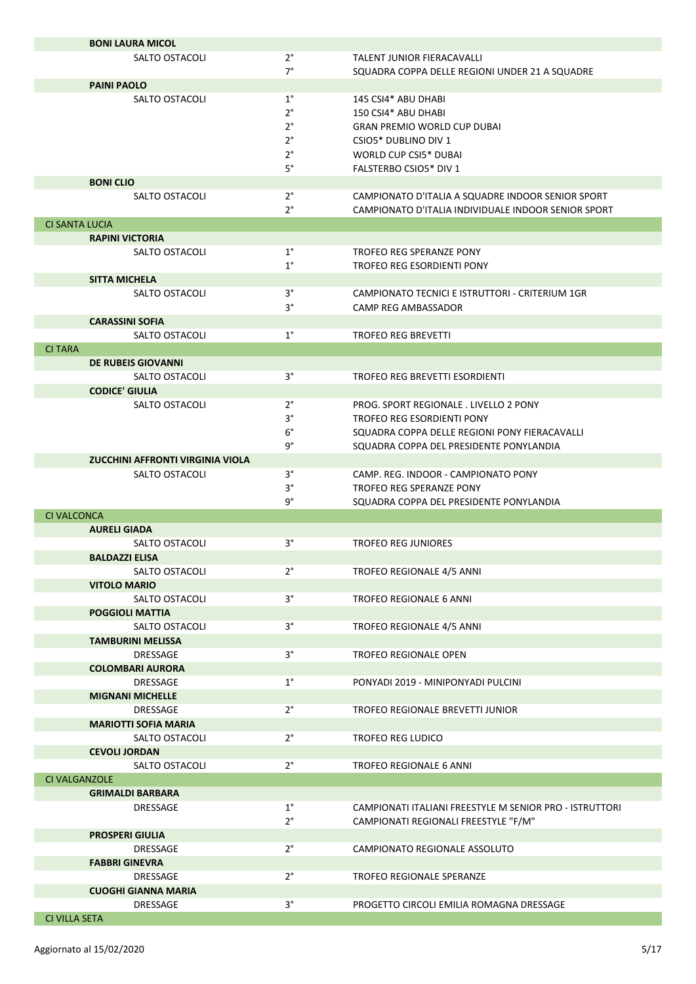|                       | <b>BONI LAURA MICOL</b>                     |             |                                                         |
|-----------------------|---------------------------------------------|-------------|---------------------------------------------------------|
|                       | SALTO OSTACOLI                              | $2^{\circ}$ | TALENT JUNIOR FIERACAVALLI                              |
|                       |                                             | $7^{\circ}$ | SQUADRA COPPA DELLE REGIONI UNDER 21 A SQUADRE          |
|                       | <b>PAINI PAOLO</b>                          |             |                                                         |
|                       | SALTO OSTACOLI                              | $1^{\circ}$ | 145 CSI4* ABU DHABI                                     |
|                       |                                             | $2^{\circ}$ | 150 CSI4* ABU DHABI                                     |
|                       |                                             | $2^{\circ}$ | <b>GRAN PREMIO WORLD CUP DUBAL</b>                      |
|                       |                                             | $2^{\circ}$ | CSIO5* DUBLINO DIV 1                                    |
|                       |                                             | $2^{\circ}$ | <b>WORLD CUP CSI5* DUBAI</b>                            |
|                       |                                             | $5^\circ$   | <b>FALSTERBO CSIO5* DIV 1</b>                           |
|                       | <b>BONI CLIO</b>                            |             |                                                         |
|                       | SALTO OSTACOLI                              | $2^{\circ}$ | CAMPIONATO D'ITALIA A SQUADRE INDOOR SENIOR SPORT       |
|                       |                                             | $2^{\circ}$ | CAMPIONATO D'ITALIA INDIVIDUALE INDOOR SENIOR SPORT     |
| <b>CI SANTA LUCIA</b> |                                             |             |                                                         |
|                       | <b>RAPINI VICTORIA</b>                      |             |                                                         |
|                       | SALTO OSTACOLI                              | $1^{\circ}$ | TROFEO REG SPERANZE PONY                                |
|                       |                                             | $1^{\circ}$ | TROFEO REG ESORDIENTI PONY                              |
|                       | <b>SITTA MICHELA</b>                        |             |                                                         |
|                       | SALTO OSTACOLI                              | 3°          | CAMPIONATO TECNICI E ISTRUTTORI - CRITERIUM 1GR         |
|                       |                                             |             |                                                         |
|                       |                                             | $3^{\circ}$ | CAMP REG AMBASSADOR                                     |
|                       | <b>CARASSINI SOFIA</b>                      |             |                                                         |
| <b>CI TARA</b>        | SALTO OSTACOLI                              | $1^{\circ}$ | <b>TROFEO REG BREVETTI</b>                              |
|                       |                                             |             |                                                         |
|                       | <b>DE RUBEIS GIOVANNI</b><br>SALTO OSTACOLI | $3^{\circ}$ | <b>TROFEO REG BREVETTI ESORDIENTI</b>                   |
|                       | <b>CODICE' GIULIA</b>                       |             |                                                         |
|                       |                                             |             |                                                         |
|                       | SALTO OSTACOLI                              | $2^{\circ}$ | PROG. SPORT REGIONALE . LIVELLO 2 PONY                  |
|                       |                                             | 3°          | TROFEO REG ESORDIENTI PONY                              |
|                       |                                             | $6^{\circ}$ | SQUADRA COPPA DELLE REGIONI PONY FIERACAVALLI           |
|                       |                                             | 9°          | SQUADRA COPPA DEL PRESIDENTE PONYLANDIA                 |
|                       | ZUCCHINI AFFRONTI VIRGINIA VIOLA            |             |                                                         |
|                       | SALTO OSTACOLI                              | $3^{\circ}$ | CAMP. REG. INDOOR - CAMPIONATO PONY                     |
|                       |                                             |             |                                                         |
|                       |                                             | $3^{\circ}$ | TROFEO REG SPERANZE PONY                                |
|                       |                                             | 9°          | SQUADRA COPPA DEL PRESIDENTE PONYLANDIA                 |
| <b>CI VALCONCA</b>    |                                             |             |                                                         |
|                       | <b>AURELI GIADA</b>                         |             |                                                         |
|                       | SALTO OSTACOLI                              | $3^{\circ}$ | <b>TROFEO REG JUNIORES</b>                              |
|                       | <b>BALDAZZI ELISA</b>                       |             |                                                         |
|                       | SALTO OSTACOLI                              | $2^{\circ}$ | TROFEO REGIONALE 4/5 ANNI                               |
|                       | <b>VITOLO MARIO</b>                         |             |                                                         |
|                       | SALTO OSTACOLI                              | $3^\circ$   | TROFEO REGIONALE 6 ANNI                                 |
|                       | <b>POGGIOLI MATTIA</b>                      |             |                                                         |
|                       | SALTO OSTACOLI                              | $3^{\circ}$ | TROFEO REGIONALE 4/5 ANNI                               |
|                       | <b>TAMBURINI MELISSA</b>                    |             |                                                         |
|                       | <b>DRESSAGE</b>                             | $3^{\circ}$ | <b>TROFEO REGIONALE OPEN</b>                            |
|                       | <b>COLOMBARI AURORA</b>                     |             |                                                         |
|                       | DRESSAGE                                    | $1^{\circ}$ | PONYADI 2019 - MINIPONYADI PULCINI                      |
|                       | <b>MIGNANI MICHELLE</b>                     |             |                                                         |
|                       | DRESSAGE                                    | $2^{\circ}$ | <b>TROFEO REGIONALE BREVETTI JUNIOR</b>                 |
|                       | <b>MARIOTTI SOFIA MARIA</b>                 |             |                                                         |
|                       | SALTO OSTACOLI                              | $2^{\circ}$ | <b>TROFEO REG LUDICO</b>                                |
|                       | <b>CEVOLI JORDAN</b>                        |             |                                                         |
|                       | SALTO OSTACOLI                              | $2^{\circ}$ | TROFEO REGIONALE 6 ANNI                                 |
| <b>CI VALGANZOLE</b>  |                                             |             |                                                         |
|                       | <b>GRIMALDI BARBARA</b>                     |             |                                                         |
|                       | DRESSAGE                                    | $1^{\circ}$ | CAMPIONATI ITALIANI FREESTYLE M SENIOR PRO - ISTRUTTORI |
|                       |                                             | $2^{\circ}$ | CAMPIONATI REGIONALI FREESTYLE "F/M"                    |
|                       | <b>PROSPERI GIULIA</b>                      |             |                                                         |
|                       | DRESSAGE                                    | $2^{\circ}$ | CAMPIONATO REGIONALE ASSOLUTO                           |
|                       | <b>FABBRI GINEVRA</b>                       |             |                                                         |
|                       | DRESSAGE                                    | $2^{\circ}$ | TROFEO REGIONALE SPERANZE                               |
|                       | <b>CUOGHI GIANNA MARIA</b>                  |             |                                                         |
| <b>CI VILLA SETA</b>  | DRESSAGE                                    | $3^{\circ}$ | PROGETTO CIRCOLI EMILIA ROMAGNA DRESSAGE                |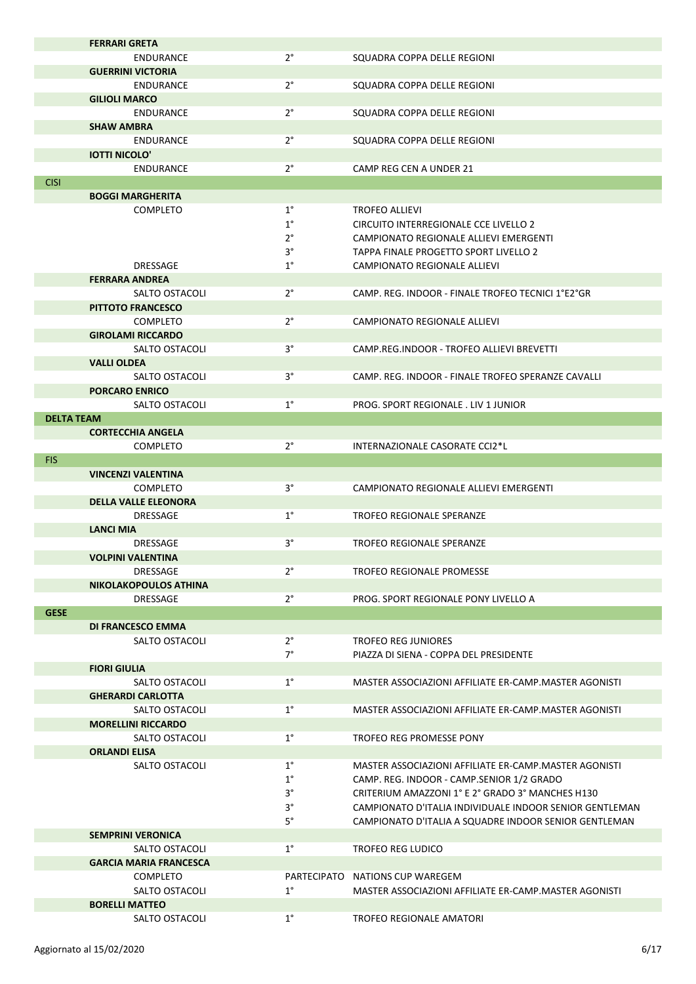|                   | <b>FERRARI GRETA</b>                 |             |                                                         |
|-------------------|--------------------------------------|-------------|---------------------------------------------------------|
|                   | ENDURANCE                            | $2^{\circ}$ | SOUADRA COPPA DELLE REGIONI                             |
|                   | <b>GUERRINI VICTORIA</b>             |             |                                                         |
|                   | <b>ENDURANCE</b>                     | $2^{\circ}$ | SQUADRA COPPA DELLE REGIONI                             |
|                   | <b>GILIOLI MARCO</b>                 |             |                                                         |
|                   | <b>FNDURANCE</b>                     | $2^{\circ}$ | SOUADRA COPPA DELLE REGIONI                             |
|                   | <b>SHAW AMBRA</b>                    |             |                                                         |
|                   | <b>ENDURANCE</b>                     | $2^{\circ}$ | SQUADRA COPPA DELLE REGIONI                             |
|                   | <b>IOTTI NICOLO'</b>                 |             |                                                         |
|                   | <b>ENDURANCE</b>                     | $2^{\circ}$ | CAMP REG CEN A UNDER 21                                 |
|                   |                                      |             |                                                         |
| <b>CISI</b>       |                                      |             |                                                         |
|                   | <b>BOGGI MARGHERITA</b>              |             |                                                         |
|                   | <b>COMPLETO</b>                      | $1^{\circ}$ | <b>TROFEO ALLIEVI</b>                                   |
|                   |                                      | $1^{\circ}$ | CIRCUITO INTERREGIONALE CCE LIVELLO 2                   |
|                   |                                      | $2^{\circ}$ | CAMPIONATO REGIONALE ALLIEVI EMERGENTI                  |
|                   |                                      | 3°          | TAPPA FINALE PROGETTO SPORT LIVELLO 2                   |
|                   | <b>DRESSAGE</b>                      | $1^{\circ}$ | CAMPIONATO REGIONALE ALLIEVI                            |
|                   | <b>FERRARA ANDREA</b>                |             |                                                         |
|                   | SALTO OSTACOLI                       | $2^{\circ}$ | CAMP. REG. INDOOR - FINALE TROFEO TECNICI 1°E2°GR       |
|                   | <b>PITTOTO FRANCESCO</b>             |             |                                                         |
|                   | <b>COMPLETO</b>                      | $2^{\circ}$ | CAMPIONATO REGIONALE ALLIEVI                            |
|                   | <b>GIROLAMI RICCARDO</b>             |             |                                                         |
|                   | SALTO OSTACOLI                       | $3^{\circ}$ | CAMP.REG.INDOOR - TROFEO ALLIEVI BREVETTI               |
|                   |                                      |             |                                                         |
|                   | <b>VALLI OLDEA</b><br>SALTO OSTACOLI | $3^\circ$   | CAMP, REG. INDOOR - FINALE TROFEO SPERANZE CAVALLI      |
|                   |                                      |             |                                                         |
|                   | <b>PORCARO ENRICO</b>                |             |                                                         |
|                   | SALTO OSTACOLI                       | $1^{\circ}$ | PROG. SPORT REGIONALE . LIV 1 JUNIOR                    |
| <b>DELTA TEAM</b> |                                      |             |                                                         |
|                   | <b>CORTECCHIA ANGELA</b>             |             |                                                         |
|                   | <b>COMPLETO</b>                      | $2^{\circ}$ | INTERNAZIONALE CASORATE CCI2*L                          |
| <b>FIS</b>        |                                      |             |                                                         |
|                   | <b>VINCENZI VALENTINA</b>            |             |                                                         |
|                   | <b>COMPLETO</b>                      | $3^\circ$   | CAMPIONATO REGIONALE ALLIEVI EMERGENTI                  |
|                   | <b>DELLA VALLE ELEONORA</b>          |             |                                                         |
|                   | <b>DRESSAGE</b>                      | $1^{\circ}$ | <b>TROFEO REGIONALE SPERANZE</b>                        |
|                   | LANCI MIA                            |             |                                                         |
|                   | DRESSAGE                             | $3^{\circ}$ | <b>TROFEO REGIONALE SPERANZE</b>                        |
|                   | <b>VOLPINI VALENTINA</b>             |             |                                                         |
|                   | <b>DRESSAGE</b>                      | $2^{\circ}$ | <b>TROFEO REGIONALE PROMESSE</b>                        |
|                   |                                      |             |                                                         |
|                   | <b>NIKOLAKOPOULOS ATHINA</b>         |             |                                                         |
|                   | <b>DRESSAGE</b>                      | $2^{\circ}$ | PROG. SPORT REGIONALE PONY LIVELLO A                    |
| <b>GESE</b>       |                                      |             |                                                         |
|                   | <b>DI FRANCESCO EMMA</b>             |             |                                                         |
|                   | SALTO OSTACOLI                       | $2^{\circ}$ | <b>TROFEO REG JUNIORES</b>                              |
|                   |                                      | $7^{\circ}$ | PIAZZA DI SIENA - COPPA DEL PRESIDENTE                  |
|                   | <b>FIORI GIULIA</b>                  |             |                                                         |
|                   | SALTO OSTACOLI                       | $1^{\circ}$ | MASTER ASSOCIAZIONI AFFILIATE ER-CAMP.MASTER AGONISTI   |
|                   | <b>GHERARDI CARLOTTA</b>             |             |                                                         |
|                   | SALTO OSTACOLI                       | $1^{\circ}$ | MASTER ASSOCIAZIONI AFFILIATE ER-CAMP.MASTER AGONISTI   |
|                   | <b>MORELLINI RICCARDO</b>            |             |                                                         |
|                   | SALTO OSTACOLI                       | $1^{\circ}$ | TROFEO REG PROMESSE PONY                                |
|                   | <b>ORLANDI ELISA</b>                 |             |                                                         |
|                   | SALTO OSTACOLI                       | $1^{\circ}$ | MASTER ASSOCIAZIONI AFFILIATE ER-CAMP.MASTER AGONISTI   |
|                   |                                      | $1^{\circ}$ |                                                         |
|                   |                                      |             | CAMP. REG. INDOOR - CAMP.SENIOR 1/2 GRADO               |
|                   |                                      | $3^{\circ}$ | CRITERIUM AMAZZONI 1° E 2° GRADO 3° MANCHES H130        |
|                   |                                      | $3^{\circ}$ | CAMPIONATO D'ITALIA INDIVIDUALE INDOOR SENIOR GENTLEMAN |
|                   |                                      |             |                                                         |
|                   |                                      | $5^{\circ}$ | CAMPIONATO D'ITALIA A SQUADRE INDOOR SENIOR GENTLEMAN   |
|                   | <b>SEMPRINI VERONICA</b>             |             |                                                         |
|                   | SALTO OSTACOLI                       | $1^{\circ}$ | <b>TROFEO REG LUDICO</b>                                |
|                   | <b>GARCIA MARIA FRANCESCA</b>        |             |                                                         |
|                   | <b>COMPLETO</b>                      |             | PARTECIPATO NATIONS CUP WAREGEM                         |
|                   | SALTO OSTACOLI                       | $1^{\circ}$ | MASTER ASSOCIAZIONI AFFILIATE ER-CAMP.MASTER AGONISTI   |
|                   | <b>BORELLI MATTEO</b>                |             |                                                         |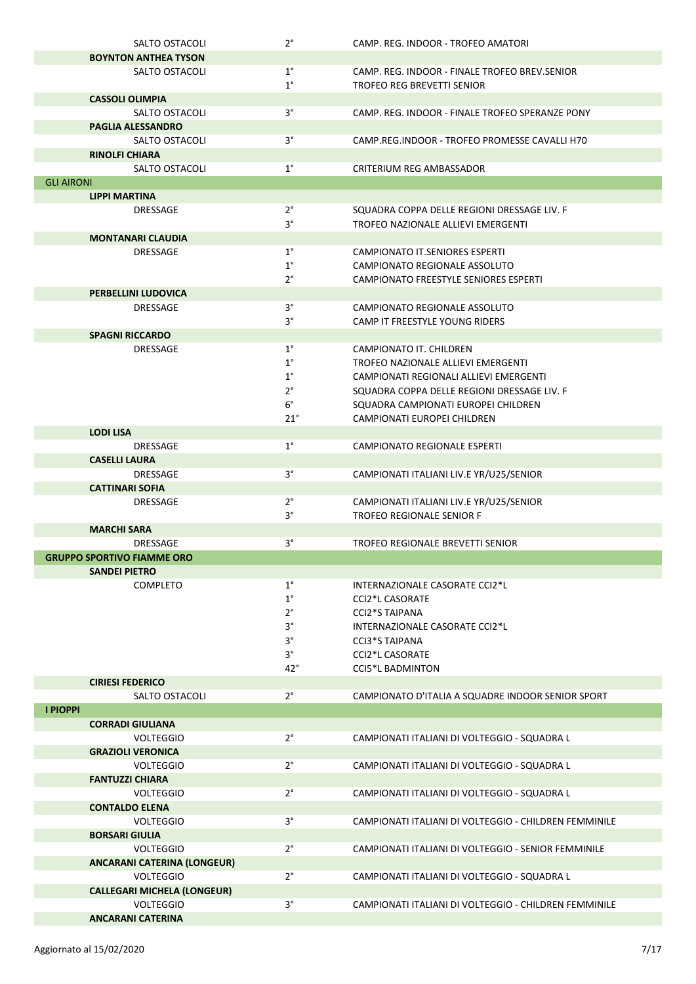|                   | SALTO OSTACOLI                     | $2^{\circ}$  | CAMP. REG. INDOOR - TROFEO AMATORI                    |
|-------------------|------------------------------------|--------------|-------------------------------------------------------|
|                   | <b>BOYNTON ANTHEA TYSON</b>        |              |                                                       |
|                   | SALTO OSTACOLI                     | $1^{\circ}$  | CAMP. REG. INDOOR - FINALE TROFEO BREV.SENIOR         |
|                   |                                    | $1^{\circ}$  | TROFEO REG BREVETTI SENIOR                            |
|                   | <b>CASSOLI OLIMPIA</b>             |              |                                                       |
|                   |                                    | $3^{\circ}$  | CAMP, REG. INDOOR - FINALE TROFEO SPERANZE PONY       |
|                   | SALTO OSTACOLI                     |              |                                                       |
|                   | <b>PAGLIA ALESSANDRO</b>           |              |                                                       |
|                   | SALTO OSTACOLI                     | $3^{\circ}$  | CAMP.REG.INDOOR - TROFEO PROMESSE CAVALLI H70         |
|                   | <b>RINOLFI CHIARA</b>              |              |                                                       |
|                   | SALTO OSTACOLI                     | $1^{\circ}$  | CRITERIUM REG AMBASSADOR                              |
| <b>GLI AIRONI</b> |                                    |              |                                                       |
|                   | <b>LIPPI MARTINA</b>               |              |                                                       |
|                   | <b>DRESSAGE</b>                    | $2^{\circ}$  | SQUADRA COPPA DELLE REGIONI DRESSAGE LIV. F           |
|                   |                                    | $3^{\circ}$  | TROFEO NAZIONALE ALLIEVI EMERGENTI                    |
|                   | <b>MONTANARI CLAUDIA</b>           |              |                                                       |
|                   | DRESSAGE                           | $1^{\circ}$  | CAMPIONATO IT.SENIORES ESPERTI                        |
|                   |                                    | $1^{\circ}$  | CAMPIONATO REGIONALE ASSOLUTO                         |
|                   |                                    | $2^{\circ}$  | CAMPIONATO FREESTYLE SENIORES ESPERTI                 |
|                   | PERBELLINI LUDOVICA                |              |                                                       |
|                   | DRESSAGE                           | $3^{\circ}$  | CAMPIONATO REGIONALE ASSOLUTO                         |
|                   |                                    | $3^{\circ}$  | CAMP IT FREESTYLE YOUNG RIDERS                        |
|                   | <b>SPAGNI RICCARDO</b>             |              |                                                       |
|                   | <b>DRESSAGE</b>                    | $1^{\circ}$  | CAMPIONATO IT. CHILDREN                               |
|                   |                                    | $1^{\circ}$  | TROFEO NAZIONALE ALLIEVI EMERGENTI                    |
|                   |                                    | $1^{\circ}$  | CAMPIONATI REGIONALI ALLIEVI EMERGENTI                |
|                   |                                    | $2^{\circ}$  |                                                       |
|                   |                                    |              | SQUADRA COPPA DELLE REGIONI DRESSAGE LIV. F           |
|                   |                                    | $6^{\circ}$  | SQUADRA CAMPIONATI EUROPEI CHILDREN                   |
|                   |                                    | $21^{\circ}$ | CAMPIONATI EUROPEI CHILDREN                           |
|                   | <b>LODI LISA</b>                   |              |                                                       |
|                   | DRESSAGE                           | $1^{\circ}$  | CAMPIONATO REGIONALE ESPERTI                          |
|                   | <b>CASELLI LAURA</b>               |              |                                                       |
|                   | <b>DRESSAGE</b>                    | $3^{\circ}$  | CAMPIONATI ITALIANI LIV.E YR/U25/SENIOR               |
|                   | <b>CATTINARI SOFIA</b>             |              |                                                       |
|                   | DRESSAGE                           | $2^{\circ}$  | CAMPIONATI ITALIANI LIV.E YR/U25/SENIOR               |
|                   |                                    | $3^{\circ}$  | <b>TROFEO REGIONALE SENIOR F</b>                      |
|                   | <b>MARCHI SARA</b>                 |              |                                                       |
|                   | <b>DRESSAGE</b>                    | $3^{\circ}$  | TROFEO REGIONALE BREVETTI SENIOR                      |
|                   | <b>GRUPPO SPORTIVO FIAMME ORO</b>  |              |                                                       |
|                   | <b>SANDEI PIETRO</b>               |              |                                                       |
|                   | <b>COMPLETO</b>                    | $1^{\circ}$  | INTERNAZIONALE CASORATE CCI2*L                        |
|                   |                                    | $1^{\circ}$  | <b>CCI2*L CASORATE</b>                                |
|                   |                                    | $2^{\circ}$  | <b>CCI2*S TAIPANA</b>                                 |
|                   |                                    | $3^{\circ}$  | INTERNAZIONALE CASORATE CCI2*L                        |
|                   |                                    | $3^{\circ}$  | <b>CCI3*S TAIPANA</b>                                 |
|                   |                                    | $3^{\circ}$  | <b>CCI2*L CASORATE</b>                                |
|                   |                                    | $42^{\circ}$ | <b>CCI5*L BADMINTON</b>                               |
|                   | <b>CIRIESI FEDERICO</b>            |              |                                                       |
|                   | SALTO OSTACOLI                     | $2^{\circ}$  | CAMPIONATO D'ITALIA A SQUADRE INDOOR SENIOR SPORT     |
| <b>I PIOPPI</b>   |                                    |              |                                                       |
|                   | <b>CORRADI GIULIANA</b>            |              |                                                       |
|                   | <b>VOLTEGGIO</b>                   | $2^{\circ}$  | CAMPIONATI ITALIANI DI VOLTEGGIO - SQUADRA L          |
|                   | <b>GRAZIOLI VERONICA</b>           |              |                                                       |
|                   | <b>VOLTEGGIO</b>                   | $2^{\circ}$  | CAMPIONATI ITALIANI DI VOLTEGGIO - SQUADRA L          |
|                   | <b>FANTUZZI CHIARA</b>             |              |                                                       |
|                   | <b>VOLTEGGIO</b>                   | $2^{\circ}$  | CAMPIONATI ITALIANI DI VOLTEGGIO - SQUADRA L          |
|                   | <b>CONTALDO ELENA</b>              |              |                                                       |
|                   | <b>VOLTEGGIO</b>                   | $3^{\circ}$  |                                                       |
|                   |                                    |              | CAMPIONATI ITALIANI DI VOLTEGGIO - CHILDREN FEMMINILE |
|                   | <b>BORSARI GIULIA</b>              |              |                                                       |
|                   | <b>VOLTEGGIO</b>                   | $2^{\circ}$  | CAMPIONATI ITALIANI DI VOLTEGGIO - SENIOR FEMMINILE   |
|                   | <b>ANCARANI CATERINA (LONGEUR)</b> |              |                                                       |
|                   | <b>VOLTEGGIO</b>                   | $2^{\circ}$  | CAMPIONATI ITALIANI DI VOLTEGGIO - SQUADRA L          |
|                   | <b>CALLEGARI MICHELA (LONGEUR)</b> |              |                                                       |
|                   | <b>VOLTEGGIO</b>                   | $3^{\circ}$  | CAMPIONATI ITALIANI DI VOLTEGGIO - CHILDREN FEMMINILE |
|                   | <b>ANCARANI CATERINA</b>           |              |                                                       |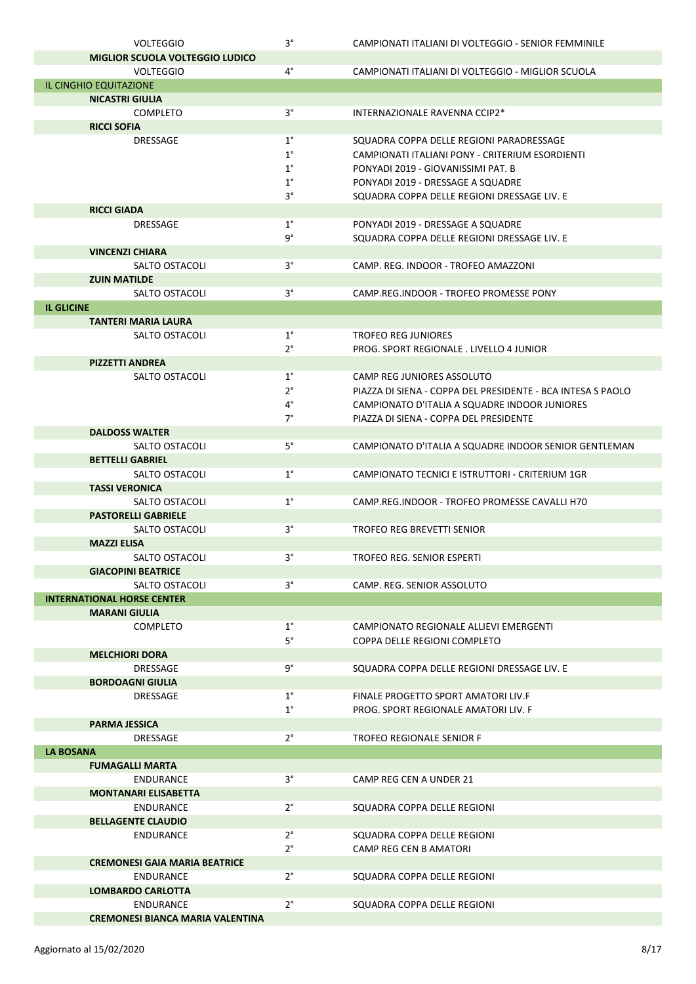| <b>VOLTEGGIO</b>                            | $3^{\circ}$                | CAMPIONATI ITALIANI DI VOLTEGGIO - SENIOR FEMMINILE                         |
|---------------------------------------------|----------------------------|-----------------------------------------------------------------------------|
| <b>MIGLIOR SCUOLA VOLTEGGIO LUDICO</b>      |                            |                                                                             |
| <b>VOLTEGGIO</b>                            | $4^{\circ}$                | CAMPIONATI ITALIANI DI VOLTEGGIO - MIGLIOR SCUOLA                           |
| IL CINGHIO EQUITAZIONE                      |                            |                                                                             |
| <b>NICASTRI GIULIA</b>                      |                            |                                                                             |
| <b>COMPLETO</b>                             | $3^{\circ}$                | INTERNAZIONALE RAVENNA CCIP2*                                               |
| <b>RICCI SOFIA</b>                          |                            |                                                                             |
| DRESSAGE                                    | $1^{\circ}$                | SQUADRA COPPA DELLE REGIONI PARADRESSAGE                                    |
|                                             | $1^{\circ}$                | CAMPIONATI ITALIANI PONY - CRITERIUM ESORDIENTI                             |
|                                             | $1^{\circ}$                | PONYADI 2019 - GIOVANISSIMI PAT. B                                          |
|                                             | $1^{\circ}$                | PONYADI 2019 - DRESSAGE A SQUADRE                                           |
|                                             | $3^{\circ}$                | SQUADRA COPPA DELLE REGIONI DRESSAGE LIV. E                                 |
| <b>RICCI GIADA</b>                          |                            |                                                                             |
| <b>DRESSAGE</b>                             | $1^{\circ}$                | PONYADI 2019 - DRESSAGE A SQUADRE                                           |
|                                             | 9°                         | SQUADRA COPPA DELLE REGIONI DRESSAGE LIV. E                                 |
| <b>VINCENZI CHIARA</b>                      |                            |                                                                             |
| SALTO OSTACOLI                              | $3^{\circ}$                | CAMP. REG. INDOOR - TROFEO AMAZZONI                                         |
| <b>ZUIN MATILDE</b>                         |                            |                                                                             |
| SALTO OSTACOLI                              | $3^{\circ}$                | CAMP.REG.INDOOR - TROFEO PROMESSE PONY                                      |
| <b>IL GLICINE</b>                           |                            |                                                                             |
| <b>TANTERI MARIA LAURA</b>                  |                            |                                                                             |
| SALTO OSTACOLI                              | $1^{\circ}$                | <b>TROFEO REG JUNIORES</b>                                                  |
|                                             | $2^{\circ}$                | PROG. SPORT REGIONALE, LIVELLO 4 JUNIOR                                     |
| <b>PIZZETTI ANDREA</b>                      |                            |                                                                             |
| SALTO OSTACOLI                              | $1^{\circ}$                | CAMP REG JUNIORES ASSOLUTO                                                  |
|                                             | $2^{\circ}$                | PIAZZA DI SIENA - COPPA DEL PRESIDENTE - BCA INTESA S PAOLO                 |
|                                             | $4^{\circ}$                | CAMPIONATO D'ITALIA A SQUADRE INDOOR JUNIORES                               |
|                                             | $7^{\circ}$                | PIAZZA DI SIENA - COPPA DEL PRESIDENTE                                      |
| <b>DALDOSS WALTER</b>                       |                            |                                                                             |
| SALTO OSTACOLI                              | $5^\circ$                  | CAMPIONATO D'ITALIA A SQUADRE INDOOR SENIOR GENTLEMAN                       |
| <b>BETTELLI GABRIEL</b>                     |                            |                                                                             |
| SALTO OSTACOLI                              | $1^{\circ}$                | CAMPIONATO TECNICI E ISTRUTTORI - CRITERIUM 1GR                             |
| <b>TASSI VERONICA</b>                       |                            |                                                                             |
| SALTO OSTACOLI                              | $1^{\circ}$                | CAMP.REG.INDOOR - TROFEO PROMESSE CAVALLI H70                               |
| <b>PASTORELLI GABRIELE</b>                  |                            |                                                                             |
|                                             | $3^{\circ}$                | <b>TROFEO REG BREVETTI SENIOR</b>                                           |
| SALTO OSTACOLI<br><b>MAZZI ELISA</b>        |                            |                                                                             |
|                                             | 3°                         |                                                                             |
| SALTO OSTACOLI                              |                            | TROFEO REG. SENIOR ESPERTI                                                  |
| <b>GIACOPINI BEATRICE</b><br>SALTO OSTACOLI | $3^{\circ}$                | CAMP. REG. SENIOR ASSOLUTO                                                  |
| <b>INTERNATIONAL HORSE CENTER</b>           |                            |                                                                             |
| <b>MARANI GIULIA</b>                        |                            |                                                                             |
| <b>COMPLETO</b>                             | $1^{\circ}$                | CAMPIONATO REGIONALE ALLIEVI EMERGENTI                                      |
|                                             |                            |                                                                             |
|                                             | $5^\circ$                  | COPPA DELLE REGIONI COMPLETO                                                |
| <b>MELCHIORI DORA</b>                       | $9^{\circ}$                |                                                                             |
| <b>DRESSAGE</b>                             |                            | SQUADRA COPPA DELLE REGIONI DRESSAGE LIV. E                                 |
| <b>BORDOAGNI GIULIA</b>                     |                            |                                                                             |
| DRESSAGE                                    | $1^{\circ}$<br>$1^{\circ}$ | FINALE PROGETTO SPORT AMATORI LIV.F<br>PROG. SPORT REGIONALE AMATORI LIV. F |
|                                             |                            |                                                                             |
| <b>PARMA JESSICA</b>                        | $2^{\circ}$                |                                                                             |
| <b>DRESSAGE</b>                             |                            | <b>TROFEO REGIONALE SENIOR F</b>                                            |
| <b>LA BOSANA</b>                            |                            |                                                                             |
| <b>FUMAGALLI MARTA</b>                      |                            |                                                                             |
| <b>ENDURANCE</b>                            | $3^{\circ}$                | CAMP REG CEN A UNDER 21                                                     |
| <b>MONTANARI ELISABETTA</b>                 |                            |                                                                             |
| <b>ENDURANCE</b>                            | $2^{\circ}$                | SQUADRA COPPA DELLE REGIONI                                                 |
| <b>BELLAGENTE CLAUDIO</b>                   |                            |                                                                             |
| ENDURANCE                                   | $2^{\circ}$                | SQUADRA COPPA DELLE REGIONI                                                 |
|                                             | $2^{\circ}$                | CAMP REG CEN B AMATORI                                                      |
| <b>CREMONESI GAIA MARIA BEATRICE</b>        |                            |                                                                             |
| <b>ENDURANCE</b>                            | $2^{\circ}$                | SQUADRA COPPA DELLE REGIONI                                                 |
| <b>LOMBARDO CARLOTTA</b>                    |                            |                                                                             |
| <b>ENDURANCE</b>                            | $2^{\circ}$                | SQUADRA COPPA DELLE REGIONI                                                 |
| <b>CREMONESI BIANCA MARIA VALENTINA</b>     |                            |                                                                             |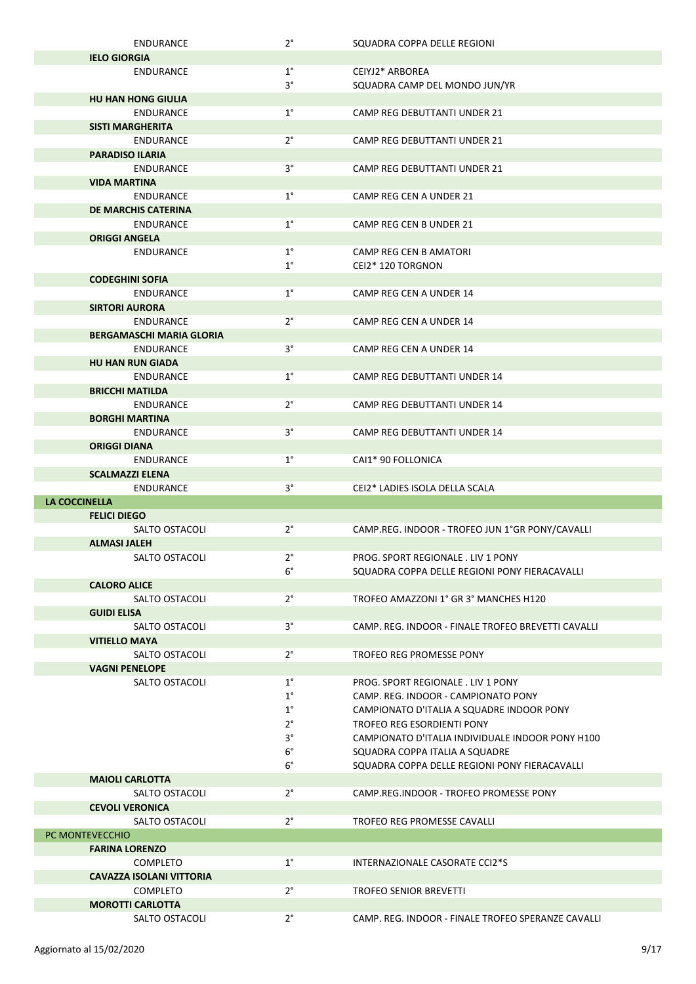| <b>ENDURANCE</b>                          | $2^{\circ}$ | SQUADRA COPPA DELLE REGIONI                        |  |
|-------------------------------------------|-------------|----------------------------------------------------|--|
| <b>IELO GIORGIA</b>                       |             |                                                    |  |
| <b>ENDURANCE</b>                          | $1^{\circ}$ | CEIYJ2* ARBOREA                                    |  |
|                                           | $3^{\circ}$ | SQUADRA CAMP DEL MONDO JUN/YR                      |  |
| <b>HU HAN HONG GIULIA</b>                 |             |                                                    |  |
| ENDURANCE                                 | $1^{\circ}$ | CAMP REG DEBUTTANTI UNDER 21                       |  |
| <b>SISTI MARGHERITA</b>                   |             |                                                    |  |
| <b>ENDURANCE</b>                          | $2^{\circ}$ | CAMP REG DEBUTTANTI UNDER 21                       |  |
| <b>PARADISO ILARIA</b>                    |             |                                                    |  |
| <b>ENDURANCE</b>                          | $3^{\circ}$ | CAMP REG DEBUTTANTI UNDER 21                       |  |
| <b>VIDA MARTINA</b>                       |             |                                                    |  |
| <b>ENDURANCE</b>                          | $1^{\circ}$ | CAMP REG CEN A UNDER 21                            |  |
| <b>DE MARCHIS CATERINA</b>                |             |                                                    |  |
| <b>ENDURANCE</b>                          | $1^{\circ}$ | CAMP REG CEN B UNDER 21                            |  |
| <b>ORIGGI ANGELA</b>                      |             |                                                    |  |
| <b>ENDURANCE</b>                          | $1^{\circ}$ | CAMP REG CEN B AMATORI                             |  |
|                                           | $1^{\circ}$ | CEI2* 120 TORGNON                                  |  |
| <b>CODEGHINI SOFIA</b>                    |             |                                                    |  |
| <b>ENDURANCE</b>                          | $1^{\circ}$ | CAMP REG CEN A UNDER 14                            |  |
| <b>SIRTORI AURORA</b>                     |             |                                                    |  |
| ENDURANCE                                 | $2^{\circ}$ | CAMP REG CEN A UNDER 14                            |  |
| <b>BERGAMASCHI MARIA GLORIA</b>           |             |                                                    |  |
| <b>ENDURANCE</b>                          | $3^{\circ}$ | CAMP REG CEN A UNDER 14                            |  |
| <b>HU HAN RUN GIADA</b>                   |             |                                                    |  |
| ENDURANCE                                 | $1^{\circ}$ | CAMP REG DEBUTTANTI UNDER 14                       |  |
| <b>BRICCHI MATILDA</b>                    |             |                                                    |  |
| ENDURANCE                                 | $2^{\circ}$ | CAMP REG DEBUTTANTI UNDER 14                       |  |
| <b>BORGHI MARTINA</b>                     |             |                                                    |  |
| ENDURANCE                                 | $3^{\circ}$ | CAMP REG DEBUTTANTI UNDER 14                       |  |
| <b>ORIGGI DIANA</b>                       |             |                                                    |  |
| ENDURANCE                                 | $1^{\circ}$ | CAI1* 90 FOLLONICA                                 |  |
|                                           |             |                                                    |  |
| <b>SCALMAZZI ELENA</b>                    |             |                                                    |  |
| <b>ENDURANCE</b>                          | $3^{\circ}$ | CEI2* LADIES ISOLA DELLA SCALA                     |  |
| <b>LA COCCINELLA</b>                      |             |                                                    |  |
| <b>FELICI DIEGO</b>                       |             |                                                    |  |
| SALTO OSTACOLI                            | $2^{\circ}$ | CAMP.REG. INDOOR - TROFEO JUN 1°GR PONY/CAVALLI    |  |
| <b>ALMASI JALEH</b>                       |             |                                                    |  |
| <b>SALTO OSTACOLI</b>                     | $2^{\circ}$ | PROG. SPORT REGIONALE . LIV 1 PONY                 |  |
|                                           | $6^{\circ}$ | SOUADRA COPPA DELLE REGIONI PONY FIERACAVALLI      |  |
| <b>CALORO ALICE</b>                       |             |                                                    |  |
| SALTO OSTACOLI                            | $2^{\circ}$ | TROFEO AMAZZONI 1° GR 3° MANCHES H120              |  |
| <b>GUIDI ELISA</b>                        |             |                                                    |  |
| SALTO OSTACOLI                            | $3^{\circ}$ | CAMP, REG. INDOOR - FINALE TROFEO BREVETTI CAVALLI |  |
| <b>VITIELLO MAYA</b>                      |             |                                                    |  |
| SALTO OSTACOLI                            | $2^{\circ}$ | TROFEO REG PROMESSE PONY                           |  |
| <b>VAGNI PENELOPE</b>                     |             |                                                    |  |
| SALTO OSTACOLI                            | $1^{\circ}$ | PROG. SPORT REGIONALE . LIV 1 PONY                 |  |
|                                           | $1^{\circ}$ | CAMP. REG. INDOOR - CAMPIONATO PONY                |  |
|                                           | $1^{\circ}$ | CAMPIONATO D'ITALIA A SQUADRE INDOOR PONY          |  |
|                                           | $2^{\circ}$ | TROFEO REG ESORDIENTI PONY                         |  |
|                                           | $3^{\circ}$ | CAMPIONATO D'ITALIA INDIVIDUALE INDOOR PONY H100   |  |
|                                           | $6^{\circ}$ | SQUADRA COPPA ITALIA A SQUADRE                     |  |
|                                           | $6^{\circ}$ | SQUADRA COPPA DELLE REGIONI PONY FIERACAVALLI      |  |
| <b>MAIOLI CARLOTTA</b>                    |             |                                                    |  |
| <b>SALTO OSTACOLI</b>                     | $2^{\circ}$ | CAMP.REG.INDOOR - TROFEO PROMESSE PONY             |  |
| <b>CEVOLI VERONICA</b>                    |             |                                                    |  |
| SALTO OSTACOLI                            | $2^{\circ}$ | TROFEO REG PROMESSE CAVALLI                        |  |
| PC MONTEVECCHIO                           |             |                                                    |  |
| <b>FARINA LORENZO</b>                     |             |                                                    |  |
| <b>COMPLETO</b>                           | $1^{\circ}$ | INTERNAZIONALE CASORATE CCI2*S                     |  |
| <b>CAVAZZA ISOLANI VITTORIA</b>           |             |                                                    |  |
| <b>COMPLETO</b>                           | $2^{\circ}$ | <b>TROFEO SENIOR BREVETTI</b>                      |  |
| <b>MOROTTI CARLOTTA</b><br>SALTO OSTACOLI | $2^{\circ}$ | CAMP. REG. INDOOR - FINALE TROFEO SPERANZE CAVALLI |  |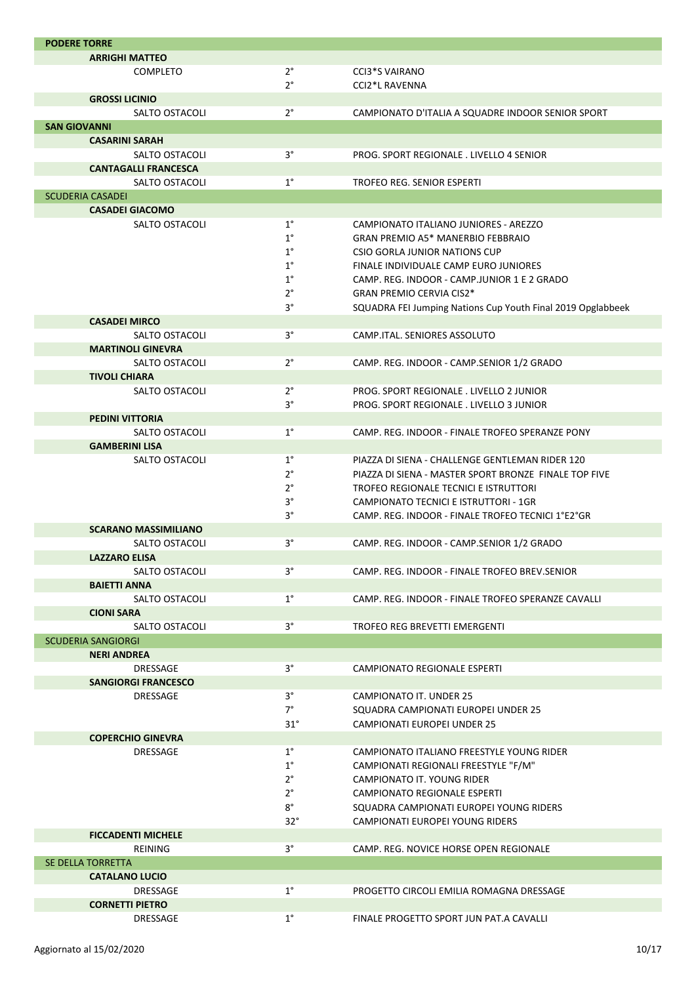| <b>PODERE TORRE</b>         |             |                                                             |
|-----------------------------|-------------|-------------------------------------------------------------|
| <b>ARRIGHI MATTEO</b>       |             |                                                             |
| <b>COMPLETO</b>             | $2^{\circ}$ | <b>CCI3*S VAIRANO</b>                                       |
|                             | $2^{\circ}$ | <b>CCI2*L RAVENNA</b>                                       |
| <b>GROSSI LICINIO</b>       |             |                                                             |
| SALTO OSTACOLI              | $2^{\circ}$ | CAMPIONATO D'ITALIA A SQUADRE INDOOR SENIOR SPORT           |
| <b>SAN GIOVANNI</b>         |             |                                                             |
| <b>CASARINI SARAH</b>       |             |                                                             |
| SALTO OSTACOLI              | $3^\circ$   | PROG. SPORT REGIONALE . LIVELLO 4 SENIOR                    |
| <b>CANTAGALLI FRANCESCA</b> |             |                                                             |
| SALTO OSTACOLI              | $1^{\circ}$ | <b>TROFEO REG. SENIOR ESPERTI</b>                           |
| <b>SCUDERIA CASADEI</b>     |             |                                                             |
| <b>CASADEI GIACOMO</b>      |             |                                                             |
| SALTO OSTACOLI              | $1^{\circ}$ | CAMPIONATO ITALIANO JUNIORES - AREZZO                       |
|                             | $1^{\circ}$ | <b>GRAN PREMIO A5* MANERBIO FEBBRAIO</b>                    |
|                             | $1^{\circ}$ | CSIO GORLA JUNIOR NATIONS CUP                               |
|                             | $1^{\circ}$ | FINALE INDIVIDUALE CAMP EURO JUNIORES                       |
|                             | $1^{\circ}$ | CAMP. REG. INDOOR - CAMP.JUNIOR 1 E 2 GRADO                 |
|                             | $2^{\circ}$ | <b>GRAN PREMIO CERVIA CIS2*</b>                             |
|                             | $3^{\circ}$ | SQUADRA FEI Jumping Nations Cup Youth Final 2019 Opglabbeek |
| <b>CASADEI MIRCO</b>        |             |                                                             |
| SALTO OSTACOLI              | $3^\circ$   | CAMP.ITAL. SENIORES ASSOLUTO                                |
| <b>MARTINOLI GINEVRA</b>    |             |                                                             |
| <b>SALTO OSTACOLI</b>       | $2^{\circ}$ | CAMP. REG. INDOOR - CAMP.SENIOR 1/2 GRADO                   |
| <b>TIVOLI CHIARA</b>        |             |                                                             |
| SALTO OSTACOLI              | $2^{\circ}$ | PROG. SPORT REGIONALE . LIVELLO 2 JUNIOR                    |
|                             | $3^{\circ}$ | PROG. SPORT REGIONALE . LIVELLO 3 JUNIOR                    |
| <b>PEDINI VITTORIA</b>      |             |                                                             |
| SALTO OSTACOLI              | $1^{\circ}$ | CAMP. REG. INDOOR - FINALE TROFEO SPERANZE PONY             |
| <b>GAMBERINI LISA</b>       |             |                                                             |
| SALTO OSTACOLI              | $1^{\circ}$ | PIAZZA DI SIENA - CHALLENGE GENTLEMAN RIDER 120             |
|                             | $2^{\circ}$ | PIAZZA DI SIENA - MASTER SPORT BRONZE FINALE TOP FIVE       |
|                             | $2^{\circ}$ | TROFEO REGIONALE TECNICI E ISTRUTTORI                       |
|                             | $3^{\circ}$ | CAMPIONATO TECNICI E ISTRUTTORI - 1GR                       |
|                             | 3°          | CAMP. REG. INDOOR - FINALE TROFEO TECNICI 1°E2°GR           |
| <b>SCARANO MASSIMILIANO</b> |             |                                                             |
| SALTO OSTACOLI              | $3^{\circ}$ | CAMP. REG. INDOOR - CAMP.SENIOR 1/2 GRADO                   |
| <b>LAZZARO ELISA</b>        |             |                                                             |
| SALTO OSTACOLI              | $3^{\circ}$ | CAMP. REG. INDOOR - FINALE TROFEO BREV.SENIOR               |
| <b>BAIETTI ANNA</b>         |             |                                                             |
| SALTO OSTACOLI              | $1^{\circ}$ | CAMP. REG. INDOOR - FINALE TROFEO SPERANZE CAVALLI          |
| <b>CIONI SARA</b>           |             |                                                             |
| SALTO OSTACOLI              | $3^{\circ}$ | TROFEO REG BREVETTI EMERGENTI                               |
| <b>SCUDERIA SANGIORGI</b>   |             |                                                             |
| <b>NERI ANDREA</b>          |             |                                                             |
| DRESSAGE                    | $3^\circ$   | CAMPIONATO REGIONALE ESPERTI                                |
| <b>SANGIORGI FRANCESCO</b>  |             |                                                             |
| <b>DRESSAGE</b>             | $3^{\circ}$ | CAMPIONATO IT. UNDER 25                                     |
|                             | $7^\circ$   | SQUADRA CAMPIONATI EUROPEI UNDER 25                         |
|                             | $31^\circ$  | <b>CAMPIONATI EUROPEI UNDER 25</b>                          |
| <b>COPERCHIO GINEVRA</b>    |             |                                                             |
| <b>DRESSAGE</b>             | $1^{\circ}$ | CAMPIONATO ITALIANO FREESTYLE YOUNG RIDER                   |
|                             | $1^{\circ}$ | CAMPIONATI REGIONALI FREESTYLE "F/M"                        |
|                             | $2^{\circ}$ | CAMPIONATO IT. YOUNG RIDER                                  |
|                             | $2^{\circ}$ | CAMPIONATO REGIONALE ESPERTI                                |
|                             | $8^{\circ}$ | SQUADRA CAMPIONATI EUROPEI YOUNG RIDERS                     |
|                             | $32^\circ$  | CAMPIONATI EUROPEI YOUNG RIDERS                             |
| <b>FICCADENTI MICHELE</b>   |             |                                                             |
| <b>REINING</b>              | $3^{\circ}$ | CAMP. REG. NOVICE HORSE OPEN REGIONALE                      |
| SE DELLA TORRETTA           |             |                                                             |
| <b>CATALANO LUCIO</b>       |             |                                                             |
| <b>DRESSAGE</b>             | $1^{\circ}$ | PROGETTO CIRCOLI EMILIA ROMAGNA DRESSAGE                    |
| <b>CORNETTI PIETRO</b>      |             |                                                             |
| DRESSAGE                    | $1^{\circ}$ | FINALE PROGETTO SPORT JUN PAT.A CAVALLI                     |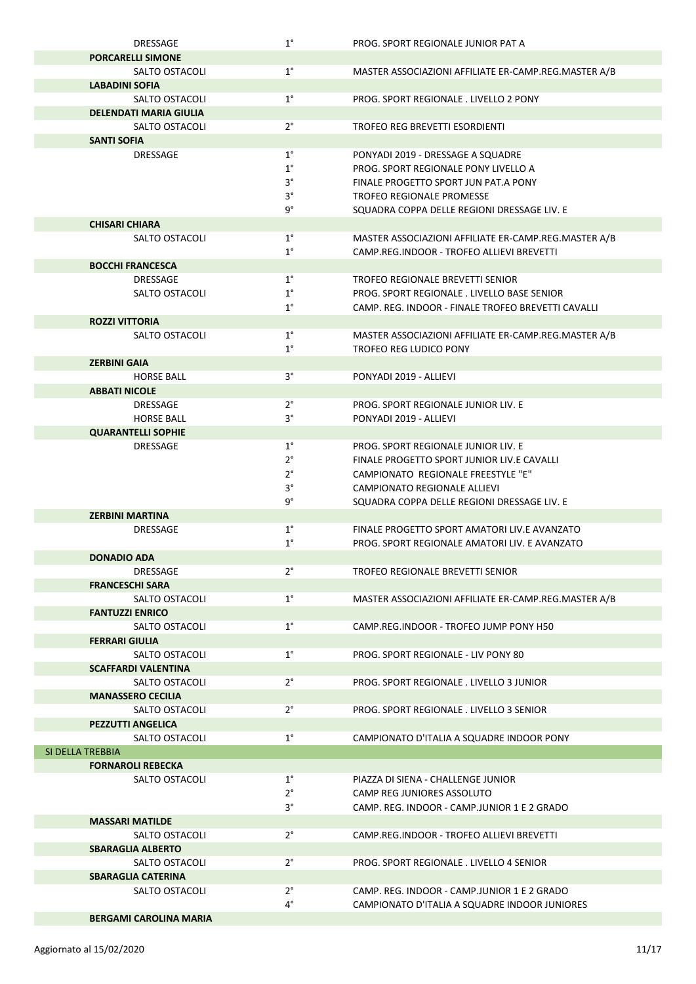| <b>DRESSAGE</b>               | $1^{\circ}$ | PROG. SPORT REGIONALE JUNIOR PAT A                   |
|-------------------------------|-------------|------------------------------------------------------|
| <b>PORCARELLI SIMONE</b>      |             |                                                      |
| SALTO OSTACOLI                | $1^{\circ}$ | MASTER ASSOCIAZIONI AFFILIATE ER-CAMP.REG.MASTER A/B |
| <b>LABADINI SOFIA</b>         |             |                                                      |
| <b>SALTO OSTACOLI</b>         | $1^{\circ}$ | PROG. SPORT REGIONALE, LIVELLO 2 PONY                |
| <b>DELENDATI MARIA GIULIA</b> |             |                                                      |
| SALTO OSTACOLI                | $2^{\circ}$ | TROFEO REG BREVETTI ESORDIENTI                       |
| <b>SANTI SOFIA</b>            |             |                                                      |
| <b>DRESSAGE</b>               | $1^{\circ}$ | PONYADI 2019 - DRESSAGE A SQUADRE                    |
|                               | $1^{\circ}$ | PROG. SPORT REGIONALE PONY LIVELLO A                 |
|                               | $3^{\circ}$ | FINALE PROGETTO SPORT JUN PAT.A PONY                 |
|                               |             |                                                      |
|                               | $3^{\circ}$ | <b>TROFEO REGIONALE PROMESSE</b>                     |
|                               | $9^{\circ}$ | SQUADRA COPPA DELLE REGIONI DRESSAGE LIV. E          |
| <b>CHISARI CHIARA</b>         |             |                                                      |
| SALTO OSTACOLI                | $1^{\circ}$ | MASTER ASSOCIAZIONI AFFILIATE ER-CAMP.REG.MASTER A/B |
|                               | $1^{\circ}$ | CAMP.REG.INDOOR - TROFEO ALLIEVI BREVETTI            |
| <b>BOCCHI FRANCESCA</b>       |             |                                                      |
| DRESSAGE                      | $1^{\circ}$ | TROFEO REGIONALE BREVETTI SENIOR                     |
| SALTO OSTACOLI                | $1^{\circ}$ | PROG. SPORT REGIONALE . LIVELLO BASE SENIOR          |
|                               | $1^{\circ}$ | CAMP. REG. INDOOR - FINALE TROFEO BREVETTI CAVALLI   |
| <b>ROZZI VITTORIA</b>         |             |                                                      |
| SALTO OSTACOLI                | $1^{\circ}$ | MASTER ASSOCIAZIONI AFFILIATE ER-CAMP.REG.MASTER A/B |
|                               | $1^{\circ}$ | TROFEO REG LUDICO PONY                               |
| <b>ZERBINI GAIA</b>           |             |                                                      |
| <b>HORSE BALL</b>             | $3^{\circ}$ | PONYADI 2019 - ALLIEVI                               |
| <b>ABBATI NICOLE</b>          |             |                                                      |
| <b>DRESSAGE</b>               | $2^{\circ}$ | PROG. SPORT REGIONALE JUNIOR LIV. E                  |
|                               | $3^{\circ}$ |                                                      |
| <b>HORSE BALL</b>             |             | PONYADI 2019 - ALLIEVI                               |
| <b>QUARANTELLI SOPHIE</b>     |             |                                                      |
| DRESSAGE                      | $1^{\circ}$ | PROG. SPORT REGIONALE JUNIOR LIV. E                  |
|                               | $2^{\circ}$ | FINALE PROGETTO SPORT JUNIOR LIV.E CAVALLI           |
|                               | $2^{\circ}$ | CAMPIONATO REGIONALE FREESTYLE "E"                   |
|                               | $3^{\circ}$ | CAMPIONATO REGIONALE ALLIEVI                         |
|                               | 9°          | SQUADRA COPPA DELLE REGIONI DRESSAGE LIV. E          |
| <b>ZERBINI MARTINA</b>        |             |                                                      |
| <b>DRESSAGE</b>               | $1^{\circ}$ | FINALE PROGETTO SPORT AMATORI LIV.E AVANZATO         |
|                               | $1^{\circ}$ | PROG. SPORT REGIONALE AMATORI LIV. E AVANZATO        |
| <b>DONADIO ADA</b>            |             |                                                      |
| <b>DRESSAGE</b>               | $2^{\circ}$ | TROFEO REGIONALE BREVETTI SENIOR                     |
| <b>FRANCESCHI SARA</b>        |             |                                                      |
| SALTO OSTACOLI                | $1^{\circ}$ | MASTER ASSOCIAZIONI AFFILIATE ER-CAMP.REG.MASTER A/B |
| <b>FANTUZZI ENRICO</b>        |             |                                                      |
| SALTO OSTACOLI                | $1^{\circ}$ | CAMP.REG.INDOOR - TROFEO JUMP PONY H50               |
|                               |             |                                                      |
| <b>FERRARI GIULIA</b>         | $1^{\circ}$ | PROG. SPORT REGIONALE - LIV PONY 80                  |
| <b>SALTO OSTACOLI</b>         |             |                                                      |
| <b>SCAFFARDI VALENTINA</b>    |             |                                                      |
| SALTO OSTACOLI                | $2^{\circ}$ | PROG. SPORT REGIONALE . LIVELLO 3 JUNIOR             |
| <b>MANASSERO CECILIA</b>      |             |                                                      |
| SALTO OSTACOLI                | $2^{\circ}$ | PROG. SPORT REGIONALE . LIVELLO 3 SENIOR             |
| <b>PEZZUTTI ANGELICA</b>      |             |                                                      |
| SALTO OSTACOLI                | $1^{\circ}$ | CAMPIONATO D'ITALIA A SQUADRE INDOOR PONY            |
| SI DELLA TREBBIA              |             |                                                      |
| <b>FORNAROLI REBECKA</b>      |             |                                                      |
| SALTO OSTACOLI                | $1^{\circ}$ | PIAZZA DI SIENA - CHALLENGE JUNIOR                   |
|                               | $2^{\circ}$ | CAMP REG JUNIORES ASSOLUTO                           |
|                               | $3^{\circ}$ | CAMP. REG. INDOOR - CAMP.JUNIOR 1 E 2 GRADO          |
| <b>MASSARI MATILDE</b>        |             |                                                      |
| <b>SALTO OSTACOLI</b>         | $2^{\circ}$ | CAMP.REG.INDOOR - TROFEO ALLIEVI BREVETTI            |
| <b>SBARAGLIA ALBERTO</b>      |             |                                                      |
| SALTO OSTACOLI                | $2^{\circ}$ | PROG. SPORT REGIONALE . LIVELLO 4 SENIOR             |
| <b>SBARAGLIA CATERINA</b>     |             |                                                      |
|                               |             |                                                      |
| SALTO OSTACOLI                | $2^{\circ}$ | CAMP. REG. INDOOR - CAMP.JUNIOR 1 E 2 GRADO          |
|                               | 4°          | CAMPIONATO D'ITALIA A SQUADRE INDOOR JUNIORES        |
| <b>BERGAMI CAROLINA MARIA</b> |             |                                                      |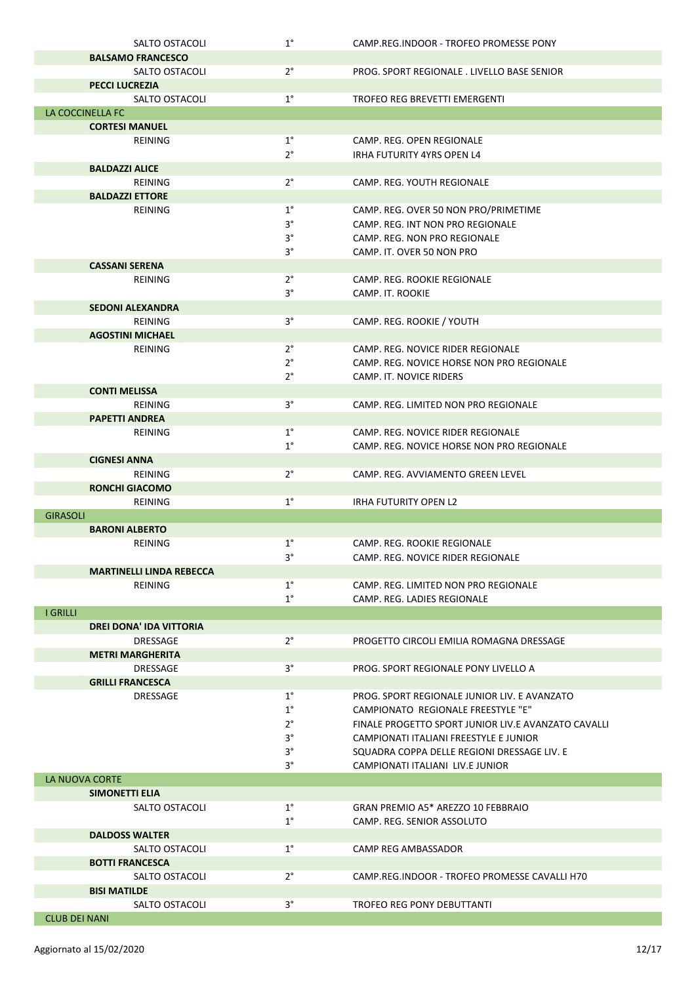|                 | SALTO OSTACOLI                  | $1^{\circ}$ | CAMP.REG.INDOOR - TROFEO PROMESSE PONY              |  |
|-----------------|---------------------------------|-------------|-----------------------------------------------------|--|
|                 | <b>BALSAMO FRANCESCO</b>        |             |                                                     |  |
|                 | SALTO OSTACOLI                  | $2^{\circ}$ | PROG. SPORT REGIONALE . LIVELLO BASE SENIOR         |  |
|                 | <b>PECCI LUCREZIA</b>           |             |                                                     |  |
|                 | <b>SALTO OSTACOLI</b>           | $1^{\circ}$ | <b>TROFEO REG BREVETTI EMERGENTI</b>                |  |
|                 | LA COCCINELLA FC                |             |                                                     |  |
|                 | <b>CORTESI MANUEL</b>           |             |                                                     |  |
|                 | REINING                         | $1^{\circ}$ | CAMP. REG. OPEN REGIONALE                           |  |
|                 |                                 | $2^{\circ}$ | IRHA FUTURITY 4YRS OPEN L4                          |  |
|                 | <b>BALDAZZI ALICE</b>           |             |                                                     |  |
|                 | <b>REINING</b>                  | $2^{\circ}$ | CAMP. REG. YOUTH REGIONALE                          |  |
|                 | <b>BALDAZZI ETTORE</b>          |             |                                                     |  |
|                 | <b>REINING</b>                  | $1^{\circ}$ | CAMP. REG. OVER 50 NON PRO/PRIMETIME                |  |
|                 |                                 | $3^{\circ}$ | CAMP. REG. INT NON PRO REGIONALE                    |  |
|                 |                                 | $3^{\circ}$ | CAMP. REG. NON PRO REGIONALE                        |  |
|                 |                                 | $3^{\circ}$ | CAMP. IT. OVER 50 NON PRO                           |  |
|                 | <b>CASSANI SERENA</b>           |             |                                                     |  |
|                 | <b>REINING</b>                  | $2^{\circ}$ | CAMP. REG. ROOKIE REGIONALE                         |  |
|                 |                                 | $3^{\circ}$ | CAMP. IT. ROOKIE                                    |  |
|                 | <b>SEDONI ALEXANDRA</b>         |             |                                                     |  |
|                 | REINING                         | $3^{\circ}$ | CAMP. REG. ROOKIE / YOUTH                           |  |
|                 | <b>AGOSTINI MICHAEL</b>         |             |                                                     |  |
|                 | REINING                         | $2^{\circ}$ | CAMP. REG. NOVICE RIDER REGIONALE                   |  |
|                 |                                 | $2^{\circ}$ | CAMP. REG. NOVICE HORSE NON PRO REGIONALE           |  |
|                 |                                 | $2^{\circ}$ | CAMP. IT. NOVICE RIDERS                             |  |
|                 | <b>CONTI MELISSA</b>            |             |                                                     |  |
|                 | <b>REINING</b>                  | $3^{\circ}$ | CAMP. REG. LIMITED NON PRO REGIONALE                |  |
|                 | <b>PAPETTI ANDREA</b>           |             |                                                     |  |
|                 | REINING                         | $1^{\circ}$ | CAMP. REG. NOVICE RIDER REGIONALE                   |  |
|                 |                                 | $1^{\circ}$ | CAMP. REG. NOVICE HORSE NON PRO REGIONALE           |  |
|                 | <b>CIGNESI ANNA</b>             |             |                                                     |  |
|                 |                                 |             | CAMP. REG. AVVIAMENTO GREEN LEVEL                   |  |
|                 | <b>REINING</b>                  | $2^{\circ}$ |                                                     |  |
|                 | <b>RONCHI GIACOMO</b>           |             |                                                     |  |
|                 | REINING                         | $1^{\circ}$ | <b>IRHA FUTURITY OPEN L2</b>                        |  |
| <b>GIRASOLI</b> |                                 |             |                                                     |  |
|                 | <b>BARONI ALBERTO</b>           |             |                                                     |  |
|                 | REINING                         | $1^{\circ}$ | CAMP. REG. ROOKIE REGIONALE                         |  |
|                 |                                 | $3^{\circ}$ | CAMP. REG. NOVICE RIDER REGIONALE                   |  |
|                 | <b>MARTINELLI LINDA REBECCA</b> |             |                                                     |  |
|                 | <b>REINING</b>                  | $1^{\circ}$ | CAMP. REG. LIMITED NON PRO REGIONALE                |  |
|                 |                                 | $1^{\circ}$ | CAMP. REG. LADIES REGIONALE                         |  |
| <b>I GRILLI</b> |                                 |             |                                                     |  |
|                 | <b>DREI DONA' IDA VITTORIA</b>  |             |                                                     |  |
|                 | <b>DRESSAGE</b>                 | $2^{\circ}$ | PROGETTO CIRCOLI EMILIA ROMAGNA DRESSAGE            |  |
|                 | <b>METRI MARGHERITA</b>         |             |                                                     |  |
|                 | <b>DRESSAGE</b>                 | $3^\circ$   | PROG. SPORT REGIONALE PONY LIVELLO A                |  |
|                 | <b>GRILLI FRANCESCA</b>         |             |                                                     |  |
|                 | DRESSAGE                        | $1^{\circ}$ | PROG. SPORT REGIONALE JUNIOR LIV. E AVANZATO        |  |
|                 |                                 | $1^{\circ}$ | CAMPIONATO REGIONALE FREESTYLE "E"                  |  |
|                 |                                 | $2^{\circ}$ | FINALE PROGETTO SPORT JUNIOR LIV.E AVANZATO CAVALLI |  |
|                 |                                 | $3^{\circ}$ | CAMPIONATI ITALIANI FREESTYLE E JUNIOR              |  |
|                 |                                 | $3^{\circ}$ | SQUADRA COPPA DELLE REGIONI DRESSAGE LIV. E         |  |
|                 |                                 | $3^{\circ}$ | CAMPIONATI ITALIANI LIV.E JUNIOR                    |  |
|                 | LA NUOVA CORTE                  |             |                                                     |  |
|                 | <b>SIMONETTI ELIA</b>           |             |                                                     |  |
|                 | SALTO OSTACOLI                  | $1^{\circ}$ | GRAN PREMIO A5* AREZZO 10 FEBBRAIO                  |  |
|                 |                                 | $1^{\circ}$ | CAMP. REG. SENIOR ASSOLUTO                          |  |
|                 | <b>DALDOSS WALTER</b>           |             |                                                     |  |
|                 | <b>SALTO OSTACOLI</b>           | $1^{\circ}$ | CAMP REG AMBASSADOR                                 |  |
|                 | <b>BOTTI FRANCESCA</b>          |             |                                                     |  |
|                 | SALTO OSTACOLI                  | $2^{\circ}$ | CAMP.REG.INDOOR - TROFEO PROMESSE CAVALLI H70       |  |
|                 | <b>BISI MATILDE</b>             |             |                                                     |  |
|                 | SALTO OSTACOLI                  | $3^{\circ}$ | TROFEO REG PONY DEBUTTANTI                          |  |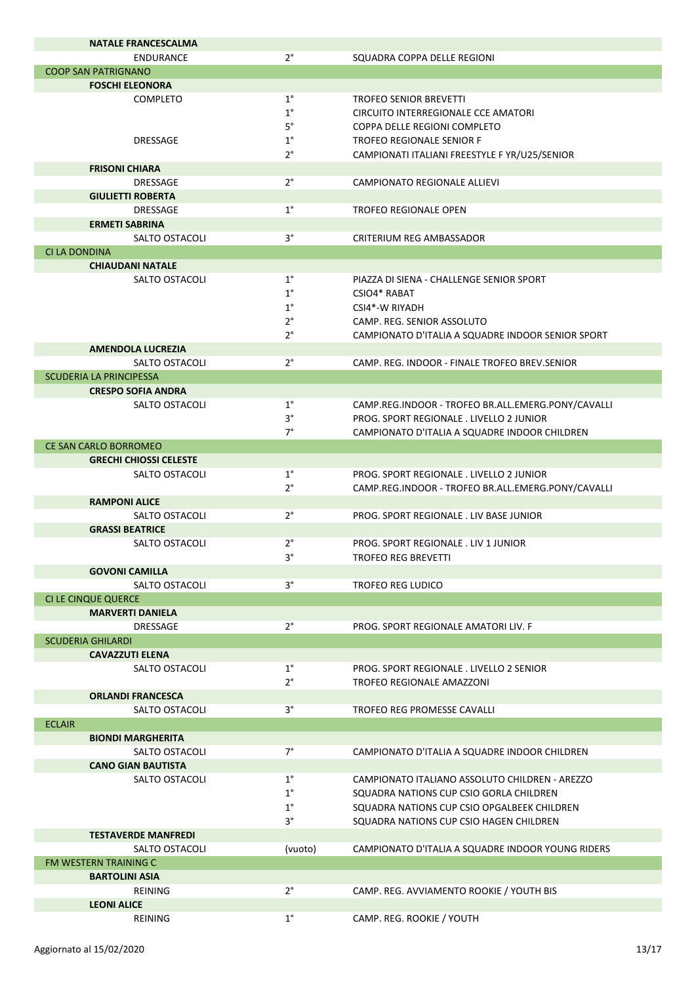|                          | <b>NATALE FRANCESCALMA</b>    |             |                                                    |
|--------------------------|-------------------------------|-------------|----------------------------------------------------|
|                          | <b>ENDURANCE</b>              | $2^{\circ}$ | SQUADRA COPPA DELLE REGIONI                        |
|                          | <b>COOP SAN PATRIGNANO</b>    |             |                                                    |
|                          | <b>FOSCHI ELEONORA</b>        |             |                                                    |
|                          | <b>COMPLETO</b>               | $1^{\circ}$ | <b>TROFEO SENIOR BREVETTI</b>                      |
|                          |                               | $1^{\circ}$ | CIRCUITO INTERREGIONALE CCE AMATORI                |
|                          |                               | $5^{\circ}$ | COPPA DELLE REGIONI COMPLETO                       |
|                          | <b>DRESSAGE</b>               | $1^{\circ}$ | <b>TROFEO REGIONALE SENIOR F</b>                   |
|                          |                               | $2^{\circ}$ | CAMPIONATI ITALIANI FREESTYLE F YR/U25/SENIOR      |
|                          | <b>FRISONI CHIARA</b>         |             |                                                    |
|                          | <b>DRESSAGE</b>               | $2^{\circ}$ | CAMPIONATO REGIONALE ALLIEVI                       |
|                          | <b>GIULIETTI ROBERTA</b>      |             |                                                    |
|                          | <b>DRESSAGE</b>               | $1^{\circ}$ | <b>TROFEO REGIONALE OPEN</b>                       |
|                          | <b>ERMETI SABRINA</b>         |             |                                                    |
|                          | SALTO OSTACOLI                | $3^{\circ}$ | CRITERIUM REG AMBASSADOR                           |
| <b>CI LA DONDINA</b>     |                               |             |                                                    |
|                          | <b>CHIAUDANI NATALE</b>       |             |                                                    |
|                          | SALTO OSTACOLI                | $1^{\circ}$ | PIAZZA DI SIENA - CHALLENGE SENIOR SPORT           |
|                          |                               | $1^{\circ}$ | CSIO4* RABAT                                       |
|                          |                               | $1^{\circ}$ | CSI4*-W RIYADH                                     |
|                          |                               | $2^{\circ}$ | CAMP. REG. SENIOR ASSOLUTO                         |
|                          |                               | $2^{\circ}$ | CAMPIONATO D'ITALIA A SQUADRE INDOOR SENIOR SPORT  |
|                          | <b>AMENDOLA LUCREZIA</b>      |             |                                                    |
|                          | SALTO OSTACOLI                | $2^{\circ}$ | CAMP. REG. INDOOR - FINALE TROFEO BREV.SENIOR      |
|                          | SCUDERIA LA PRINCIPESSA       |             |                                                    |
|                          | <b>CRESPO SOFIA ANDRA</b>     |             |                                                    |
|                          | SALTO OSTACOLI                | $1^{\circ}$ | CAMP.REG.INDOOR - TROFEO BR.ALL.EMERG.PONY/CAVALLI |
|                          |                               | $3^{\circ}$ | PROG. SPORT REGIONALE . LIVELLO 2 JUNIOR           |
|                          |                               | 7°          | CAMPIONATO D'ITALIA A SQUADRE INDOOR CHILDREN      |
|                          | <b>CE SAN CARLO BORROMEO</b>  |             |                                                    |
|                          | <b>GRECHI CHIOSSI CELESTE</b> |             |                                                    |
|                          | SALTO OSTACOLI                | $1^{\circ}$ | PROG. SPORT REGIONALE . LIVELLO 2 JUNIOR           |
|                          |                               | $2^{\circ}$ | CAMP.REG.INDOOR - TROFEO BR.ALL.EMERG.PONY/CAVALLI |
|                          | <b>RAMPONI ALICE</b>          |             |                                                    |
|                          | SALTO OSTACOLI                | $2^{\circ}$ | PROG. SPORT REGIONALE . LIV BASE JUNIOR            |
|                          | <b>GRASSI BEATRICE</b>        |             |                                                    |
|                          | SALTO OSTACOLI                | $2^{\circ}$ | PROG. SPORT REGIONALE . LIV 1 JUNIOR               |
|                          |                               | $3^{\circ}$ | TROFEO REG BREVETTI                                |
|                          | <b>GOVONI CAMILLA</b>         |             |                                                    |
|                          | SALTO OSTACOLI                | $3^{\circ}$ | <b>TROFEO REG LUDICO</b>                           |
|                          | <b>CI LE CINQUE QUERCE</b>    |             |                                                    |
|                          | <b>MARVERTI DANIELA</b>       |             |                                                    |
|                          | DRESSAGE                      | $2^{\circ}$ | PROG. SPORT REGIONALE AMATORI LIV. F               |
| <b>SCUDERIA GHILARDI</b> |                               |             |                                                    |
|                          | <b>CAVAZZUTI ELENA</b>        |             |                                                    |
|                          | SALTO OSTACOLI                | $1^{\circ}$ | PROG. SPORT REGIONALE . LIVELLO 2 SENIOR           |
|                          |                               | $2^{\circ}$ | TROFEO REGIONALE AMAZZONI                          |
|                          | <b>ORLANDI FRANCESCA</b>      |             |                                                    |
|                          | SALTO OSTACOLI                | 3°          | <b>TROFEO REG PROMESSE CAVALLI</b>                 |
| <b>ECLAIR</b>            |                               |             |                                                    |
|                          | <b>BIONDI MARGHERITA</b>      |             |                                                    |
|                          | SALTO OSTACOLI                | $7^\circ$   | CAMPIONATO D'ITALIA A SQUADRE INDOOR CHILDREN      |
|                          | <b>CANO GIAN BAUTISTA</b>     |             |                                                    |
|                          | SALTO OSTACOLI                | $1^{\circ}$ | CAMPIONATO ITALIANO ASSOLUTO CHILDREN - AREZZO     |
|                          |                               | $1^{\circ}$ | SQUADRA NATIONS CUP CSIO GORLA CHILDREN            |
|                          |                               | $1^{\circ}$ | SQUADRA NATIONS CUP CSIO OPGALBEEK CHILDREN        |
|                          |                               | $3^{\circ}$ | SQUADRA NATIONS CUP CSIO HAGEN CHILDREN            |
|                          | <b>TESTAVERDE MANFREDI</b>    |             |                                                    |
|                          | SALTO OSTACOLI                | (vuoto)     | CAMPIONATO D'ITALIA A SQUADRE INDOOR YOUNG RIDERS  |
|                          | <b>FM WESTERN TRAINING C</b>  |             |                                                    |
|                          | <b>BARTOLINI ASIA</b>         |             |                                                    |
|                          | REINING                       | $2^{\circ}$ | CAMP. REG. AVVIAMENTO ROOKIE / YOUTH BIS           |
|                          | <b>LEONI ALICE</b>            |             |                                                    |
|                          | REINING                       | $1^{\circ}$ | CAMP. REG. ROOKIE / YOUTH                          |
|                          |                               |             |                                                    |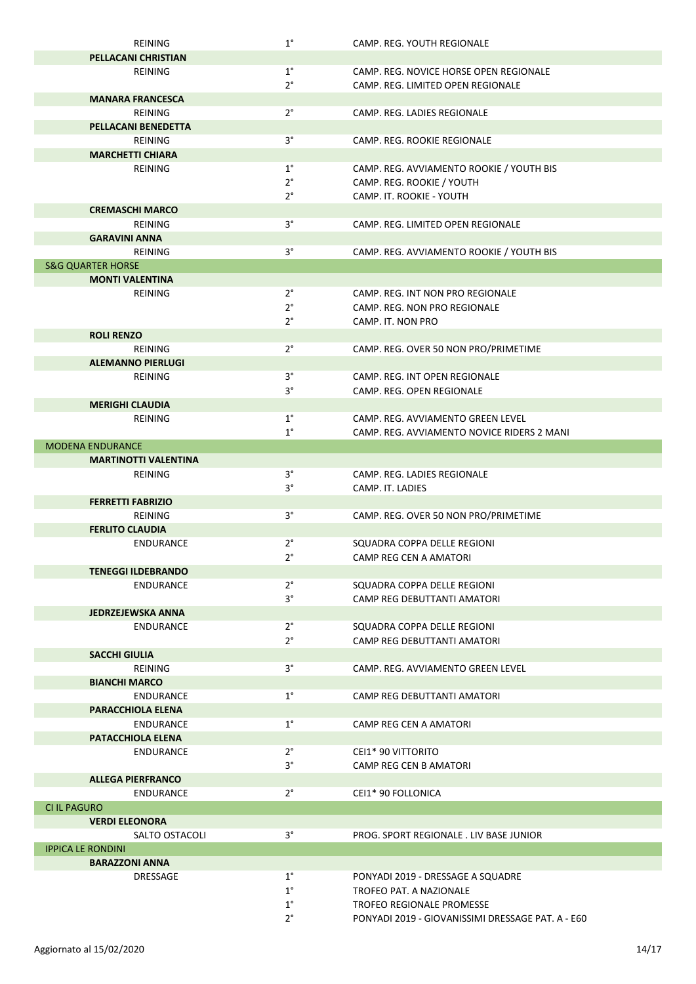|                              | $1^{\circ}$                | CAMP. REG. YOUTH REGIONALE                                                     |  |
|------------------------------|----------------------------|--------------------------------------------------------------------------------|--|
| PELLACANI CHRISTIAN          |                            |                                                                                |  |
| REINING                      | $1^{\circ}$                | CAMP. REG. NOVICE HORSE OPEN REGIONALE                                         |  |
|                              | $2^{\circ}$                | CAMP. REG. LIMITED OPEN REGIONALE                                              |  |
|                              |                            |                                                                                |  |
| <b>MANARA FRANCESCA</b>      |                            |                                                                                |  |
| REINING                      | $2^{\circ}$                | CAMP. REG. LADIES REGIONALE                                                    |  |
| PELLACANI BENEDETTA          |                            |                                                                                |  |
| <b>REINING</b>               | $3^{\circ}$                | CAMP. REG. ROOKIE REGIONALE                                                    |  |
| <b>MARCHETTI CHIARA</b>      |                            |                                                                                |  |
| <b>REINING</b>               | $1^{\circ}$                | CAMP. REG. AVVIAMENTO ROOKIE / YOUTH BIS                                       |  |
|                              | $2^{\circ}$                | CAMP. REG. ROOKIE / YOUTH                                                      |  |
|                              | $2^{\circ}$                |                                                                                |  |
|                              |                            | CAMP. IT. ROOKIE - YOUTH                                                       |  |
| <b>CREMASCHI MARCO</b>       |                            |                                                                                |  |
| REINING                      | $3^{\circ}$                | CAMP. REG. LIMITED OPEN REGIONALE                                              |  |
| <b>GARAVINI ANNA</b>         |                            |                                                                                |  |
| <b>REINING</b>               | $3^{\circ}$                | CAMP. REG. AVVIAMENTO ROOKIE / YOUTH BIS                                       |  |
| <b>S&amp;G QUARTER HORSE</b> |                            |                                                                                |  |
| <b>MONTI VALENTINA</b>       |                            |                                                                                |  |
| REINING                      | $2^{\circ}$                | CAMP. REG. INT NON PRO REGIONALE                                               |  |
|                              |                            |                                                                                |  |
|                              | $2^{\circ}$                | CAMP. REG. NON PRO REGIONALE                                                   |  |
|                              | $2^{\circ}$                | CAMP. IT. NON PRO                                                              |  |
| <b>ROLI RENZO</b>            |                            |                                                                                |  |
| REINING                      | $2^{\circ}$                | CAMP. REG. OVER 50 NON PRO/PRIMETIME                                           |  |
| <b>ALEMANNO PIERLUGI</b>     |                            |                                                                                |  |
| <b>REINING</b>               | $3^{\circ}$                | CAMP. REG. INT OPEN REGIONALE                                                  |  |
|                              | $3^{\circ}$                | CAMP. REG. OPEN REGIONALE                                                      |  |
|                              |                            |                                                                                |  |
| <b>MERIGHI CLAUDIA</b>       |                            |                                                                                |  |
| REINING                      | $1^{\circ}$                | CAMP. REG. AVVIAMENTO GREEN LEVEL                                              |  |
|                              | $1^{\circ}$                | CAMP. REG. AVVIAMENTO NOVICE RIDERS 2 MANI                                     |  |
| <b>MODENA ENDURANCE</b>      |                            |                                                                                |  |
| <b>MARTINOTTI VALENTINA</b>  |                            |                                                                                |  |
| REINING                      | $3^{\circ}$                | CAMP. REG. LADIES REGIONALE                                                    |  |
|                              | $3^{\circ}$                | CAMP. IT. LADIES                                                               |  |
|                              |                            |                                                                                |  |
| <b>FERRETTI FABRIZIO</b>     |                            |                                                                                |  |
| REINING                      | $3^{\circ}$                | CAMP. REG. OVER 50 NON PRO/PRIMETIME                                           |  |
| <b>FERLITO CLAUDIA</b>       |                            |                                                                                |  |
| <b>ENDURANCE</b>             | $2^{\circ}$                | SQUADRA COPPA DELLE REGIONI                                                    |  |
|                              | $2^{\circ}$                | CAMP REG CEN A AMATORI                                                         |  |
| <b>TENEGGI ILDEBRANDO</b>    |                            |                                                                                |  |
| <b>ENDURANCE</b>             | $2^{\circ}$                | SQUADRA COPPA DELLE REGIONI                                                    |  |
|                              | $3^{\circ}$                |                                                                                |  |
|                              |                            | CAMP REG DEBUTTANTI AMATORI                                                    |  |
|                              |                            |                                                                                |  |
| JEDRZEJEWSKA ANNA            |                            |                                                                                |  |
| <b>ENDURANCE</b>             | $2^{\circ}$                | SQUADRA COPPA DELLE REGIONI                                                    |  |
|                              | $2^{\circ}$                | CAMP REG DEBUTTANTI AMATORI                                                    |  |
| <b>SACCHI GIULIA</b>         |                            |                                                                                |  |
| REINING                      | $3^{\circ}$                | CAMP. REG. AVVIAMENTO GREEN LEVEL                                              |  |
|                              |                            |                                                                                |  |
| <b>BIANCHI MARCO</b>         |                            |                                                                                |  |
| <b>ENDURANCE</b>             | $1^{\circ}$                | CAMP REG DEBUTTANTI AMATORI                                                    |  |
| <b>PARACCHIOLA ELENA</b>     |                            |                                                                                |  |
| <b>ENDURANCE</b>             | $1^{\circ}$                | CAMP REG CEN A AMATORI                                                         |  |
| PATACCHIOLA ELENA            |                            |                                                                                |  |
| ENDURANCE                    | $2^{\circ}$                | CEI1* 90 VITTORITO                                                             |  |
|                              | $3^{\circ}$                | CAMP REG CEN B AMATORI                                                         |  |
|                              |                            |                                                                                |  |
| <b>ALLEGA PIERFRANCO</b>     |                            |                                                                                |  |
| <b>ENDURANCE</b>             | $2^{\circ}$                | CEI1* 90 FOLLONICA                                                             |  |
| <b>CI IL PAGURO</b>          |                            |                                                                                |  |
| <b>VERDI ELEONORA</b>        |                            |                                                                                |  |
| SALTO OSTACOLI               | $3^{\circ}$                | PROG. SPORT REGIONALE . LIV BASE JUNIOR                                        |  |
| <b>IPPICA LE RONDINI</b>     |                            |                                                                                |  |
| <b>BARAZZONI ANNA</b>        |                            |                                                                                |  |
|                              |                            |                                                                                |  |
| <b>DRESSAGE</b>              | $1^{\circ}$                | PONYADI 2019 - DRESSAGE A SQUADRE                                              |  |
|                              | $1^{\circ}$                | TROFEO PAT. A NAZIONALE                                                        |  |
|                              | $1^{\circ}$<br>$2^{\circ}$ | TROFEO REGIONALE PROMESSE<br>PONYADI 2019 - GIOVANISSIMI DRESSAGE PAT. A - E60 |  |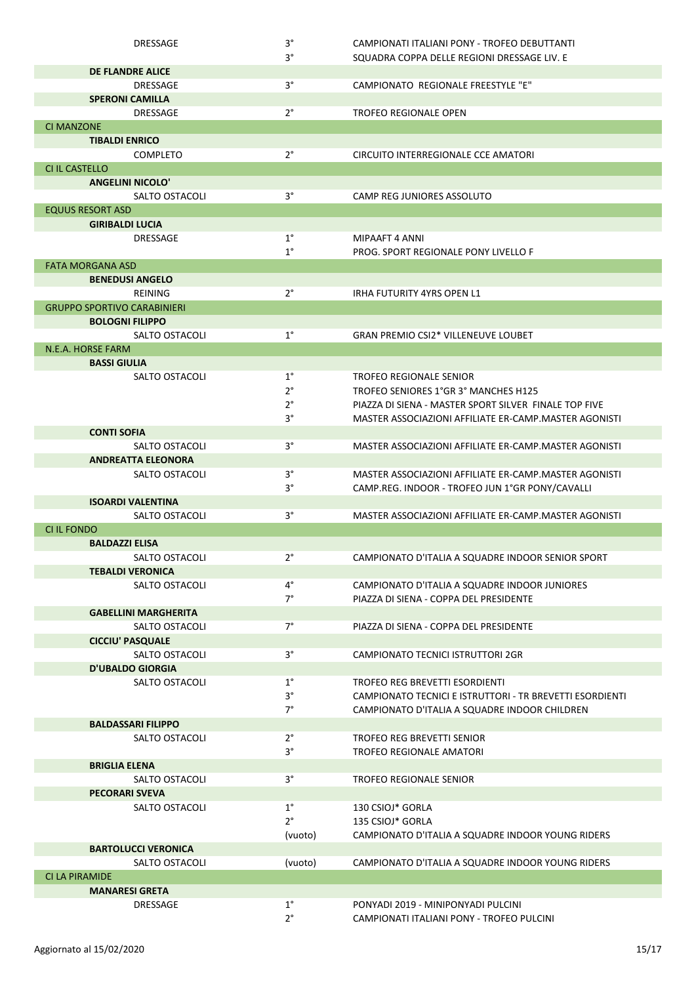| <b>DRESSAGE</b>                           | $3^{\circ}$                | CAMPIONATI ITALIANI PONY - TROFEO DEBUTTANTI                                            |
|-------------------------------------------|----------------------------|-----------------------------------------------------------------------------------------|
|                                           | $3^{\circ}$                | SOUADRA COPPA DELLE REGIONI DRESSAGE LIV. E                                             |
| <b>DE FLANDRE ALICE</b>                   | $3^{\circ}$                |                                                                                         |
| <b>DRESSAGE</b><br><b>SPERONI CAMILLA</b> |                            | CAMPIONATO REGIONALE FREESTYLE "E"                                                      |
| <b>DRESSAGE</b>                           | $2^{\circ}$                | <b>TROFEO REGIONALE OPEN</b>                                                            |
| <b>CI MANZONE</b>                         |                            |                                                                                         |
| <b>TIBALDI ENRICO</b>                     |                            |                                                                                         |
| <b>COMPLETO</b>                           | $2^{\circ}$                | CIRCUITO INTERREGIONALE CCE AMATORI                                                     |
| <b>CI IL CASTELLO</b>                     |                            |                                                                                         |
| <b>ANGELINI NICOLO'</b>                   |                            |                                                                                         |
| SALTO OSTACOLI                            | $3^{\circ}$                | CAMP REG JUNIORES ASSOLUTO                                                              |
| <b>EQUUS RESORT ASD</b>                   |                            |                                                                                         |
| <b>GIRIBALDI LUCIA</b>                    |                            |                                                                                         |
| <b>DRESSAGE</b>                           | $1^{\circ}$<br>$1^{\circ}$ | MIPAAFT 4 ANNI                                                                          |
| <b>FATA MORGANA ASD</b>                   |                            | PROG. SPORT REGIONALE PONY LIVELLO F                                                    |
| <b>BENEDUSI ANGELO</b>                    |                            |                                                                                         |
| REINING                                   | $2^{\circ}$                | IRHA FUTURITY 4YRS OPEN L1                                                              |
| <b>GRUPPO SPORTIVO CARABINIERI</b>        |                            |                                                                                         |
| <b>BOLOGNI FILIPPO</b>                    |                            |                                                                                         |
| SALTO OSTACOLI                            | $1^{\circ}$                | <b>GRAN PREMIO CSI2* VILLENEUVE LOUBET</b>                                              |
| N.E.A. HORSE FARM                         |                            |                                                                                         |
| <b>BASSI GIULIA</b>                       |                            |                                                                                         |
| <b>SALTO OSTACOLI</b>                     | $1^{\circ}$                | <b>TROFEO REGIONALE SENIOR</b>                                                          |
|                                           | $2^{\circ}$                | TROFEO SENIORES 1°GR 3° MANCHES H125                                                    |
|                                           | $2^{\circ}$                | PIAZZA DI SIENA - MASTER SPORT SILVER FINALE TOP FIVE                                   |
|                                           | $3^{\circ}$                | MASTER ASSOCIAZIONI AFFILIATE ER-CAMP.MASTER AGONISTI                                   |
| <b>CONTI SOFIA</b><br>SALTO OSTACOLI      | $3^{\circ}$                | MASTER ASSOCIAZIONI AFFILIATE ER-CAMP.MASTER AGONISTI                                   |
| <b>ANDREATTA ELEONORA</b>                 |                            |                                                                                         |
| SALTO OSTACOLI                            | $3^{\circ}$                | MASTER ASSOCIAZIONI AFFILIATE ER-CAMP.MASTER AGONISTI                                   |
|                                           | $3^{\circ}$                | CAMP.REG. INDOOR - TROFEO JUN 1°GR PONY/CAVALLI                                         |
| <b>ISOARDI VALENTINA</b>                  |                            |                                                                                         |
| SALTO OSTACOLI                            | $3^{\circ}$                | MASTER ASSOCIAZIONI AFFILIATE ER-CAMP. MASTER AGONISTI                                  |
| <b>CIIL FONDO</b>                         |                            |                                                                                         |
| <b>BALDAZZI ELISA</b>                     |                            |                                                                                         |
| SALTO OSTACOLI                            | $2^{\circ}$                | CAMPIONATO D'ITALIA A SOUADRE INDOOR SENIOR SPORT                                       |
| <b>TEBALDI VERONICA</b>                   |                            |                                                                                         |
| SALTO OSTACOLI                            | $4^{\circ}$<br>$7^{\circ}$ | CAMPIONATO D'ITALIA A SQUADRE INDOOR JUNIORES<br>PIAZZA DI SIENA - COPPA DEL PRESIDENTE |
| <b>GABELLINI MARGHERITA</b>               |                            |                                                                                         |
| SALTO OSTACOLI                            | $7^\circ$                  | PIAZZA DI SIENA - COPPA DEL PRESIDENTE                                                  |
| <b>CICCIU' PASQUALE</b>                   |                            |                                                                                         |
| SALTO OSTACOLI                            | $3^{\circ}$                | CAMPIONATO TECNICI ISTRUTTORI 2GR                                                       |
| <b>D'UBALDO GIORGIA</b>                   |                            |                                                                                         |
| SALTO OSTACOLI                            | $1^{\circ}$                | TROFEO REG BREVETTI ESORDIENTI                                                          |
|                                           | $3^{\circ}$                | CAMPIONATO TECNICI E ISTRUTTORI - TR BREVETTI ESORDIENTI                                |
|                                           | $7^{\circ}$                | CAMPIONATO D'ITALIA A SQUADRE INDOOR CHILDREN                                           |
| <b>BALDASSARI FILIPPO</b>                 |                            |                                                                                         |
| SALTO OSTACOLI                            | $2^{\circ}$<br>$3^{\circ}$ | TROFEO REG BREVETTI SENIOR<br><b>TROFEO REGIONALE AMATORI</b>                           |
| <b>BRIGLIA ELENA</b>                      |                            |                                                                                         |
| SALTO OSTACOLI                            | $3^{\circ}$                | <b>TROFEO REGIONALE SENIOR</b>                                                          |
| <b>PECORARI SVEVA</b>                     |                            |                                                                                         |
| SALTO OSTACOLI                            | $1^{\circ}$                | 130 CSIOJ* GORLA                                                                        |
|                                           | $2^{\circ}$                | 135 CSIOJ* GORLA                                                                        |
|                                           | (vuoto)                    | CAMPIONATO D'ITALIA A SQUADRE INDOOR YOUNG RIDERS                                       |
| <b>BARTOLUCCI VERONICA</b>                |                            |                                                                                         |
| SALTO OSTACOLI                            | (vuoto)                    | CAMPIONATO D'ITALIA A SQUADRE INDOOR YOUNG RIDERS                                       |
| CI LA PIRAMIDE                            |                            |                                                                                         |
| <b>MANARESI GRETA</b>                     |                            |                                                                                         |
| <b>DRESSAGE</b>                           | $1^{\circ}$<br>$2^{\circ}$ | PONYADI 2019 - MINIPONYADI PULCINI                                                      |
|                                           |                            | CAMPIONATI ITALIANI PONY - TROFEO PULCINI                                               |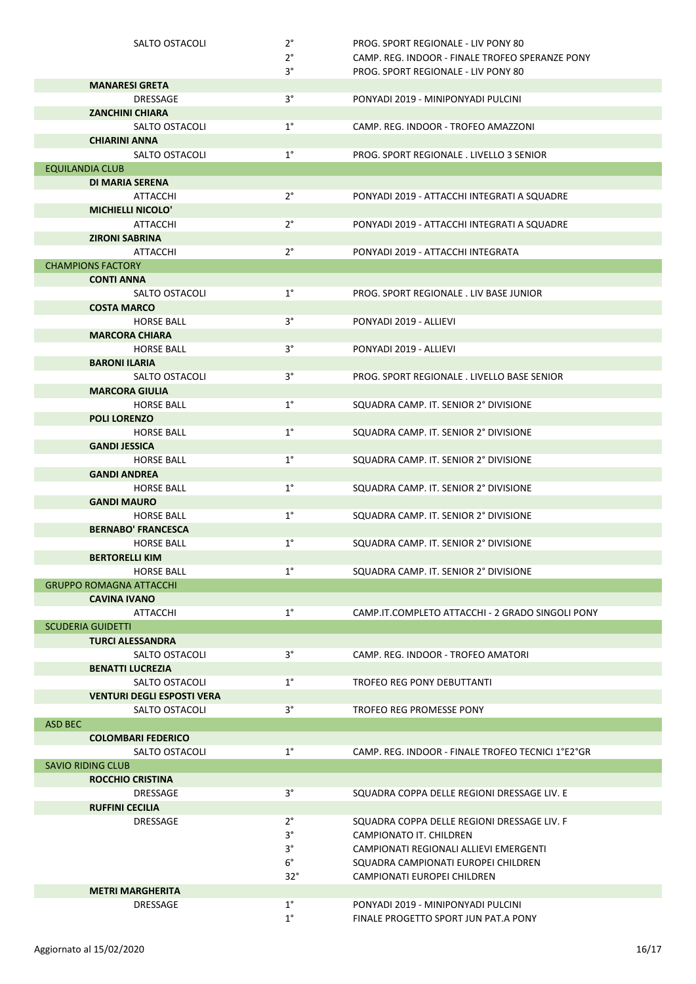| SALTO OSTACOLI                    | $2^{\circ}$ | PROG. SPORT REGIONALE - LIV PONY 80               |
|-----------------------------------|-------------|---------------------------------------------------|
|                                   | $2^{\circ}$ | CAMP. REG. INDOOR - FINALE TROFEO SPERANZE PONY   |
|                                   | $3^{\circ}$ | PROG. SPORT REGIONALE - LIV PONY 80               |
| <b>MANARESI GRETA</b>             |             |                                                   |
| <b>DRESSAGE</b>                   | $3^{\circ}$ | PONYADI 2019 - MINIPONYADI PULCINI                |
| <b>ZANCHINI CHIARA</b>            |             |                                                   |
| SALTO OSTACOLI                    | $1^{\circ}$ | CAMP. REG. INDOOR - TROFEO AMAZZONI               |
| <b>CHIARINI ANNA</b>              |             |                                                   |
| SALTO OSTACOLI                    | $1^{\circ}$ | PROG. SPORT REGIONALE . LIVELLO 3 SENIOR          |
| <b>EQUILANDIA CLUB</b>            |             |                                                   |
| <b>DI MARIA SERENA</b>            |             |                                                   |
| ATTACCHI                          | $2^{\circ}$ | PONYADI 2019 - ATTACCHI INTEGRATI A SQUADRE       |
| <b>MICHIELLI NICOLO'</b>          |             |                                                   |
| <b>ATTACCHI</b>                   | $2^{\circ}$ | PONYADI 2019 - ATTACCHI INTEGRATI A SQUADRE       |
| <b>ZIRONI SABRINA</b>             |             |                                                   |
| ATTACCHI                          | $2^{\circ}$ | PONYADI 2019 - ATTACCHI INTEGRATA                 |
| <b>CHAMPIONS FACTORY</b>          |             |                                                   |
| <b>CONTI ANNA</b>                 |             |                                                   |
| SALTO OSTACOLI                    | $1^{\circ}$ | PROG. SPORT REGIONALE . LIV BASE JUNIOR           |
| <b>COSTA MARCO</b>                |             |                                                   |
| <b>HORSE BALL</b>                 | 3°          | PONYADI 2019 - ALLIEVI                            |
| <b>MARCORA CHIARA</b>             |             |                                                   |
| <b>HORSE BALL</b>                 | $3^{\circ}$ | PONYADI 2019 - ALLIEVI                            |
| <b>BARONI ILARIA</b>              |             |                                                   |
| <b>SALTO OSTACOLI</b>             | 3°          | PROG. SPORT REGIONALE . LIVELLO BASE SENIOR       |
| <b>MARCORA GIULIA</b>             |             |                                                   |
| <b>HORSE BALL</b>                 | $1^{\circ}$ | SQUADRA CAMP. IT. SENIOR 2° DIVISIONE             |
| <b>POLI LORENZO</b>               |             |                                                   |
| <b>HORSE BALL</b>                 | $1^{\circ}$ | SQUADRA CAMP. IT. SENIOR 2° DIVISIONE             |
| <b>GANDI JESSICA</b>              |             |                                                   |
| <b>HORSE BALL</b>                 | $1^{\circ}$ | SQUADRA CAMP. IT. SENIOR 2° DIVISIONE             |
| <b>GANDI ANDREA</b>               |             |                                                   |
| <b>HORSE BALL</b>                 | $1^{\circ}$ | SQUADRA CAMP. IT. SENIOR 2° DIVISIONE             |
| <b>GANDI MAURO</b>                |             |                                                   |
| <b>HORSE BALL</b>                 | $1^{\circ}$ | SQUADRA CAMP. IT. SENIOR 2° DIVISIONE             |
| <b>BERNABO' FRANCESCA</b>         |             |                                                   |
| <b>HORSE BALL</b>                 | $1^{\circ}$ | SOUADRA CAMP. IT. SENIOR 2° DIVISIONE             |
| <b>BERTORELLI KIM</b>             |             |                                                   |
| <b>HORSE BALL</b>                 | $1^{\circ}$ | SQUADRA CAMP. IT. SENIOR 2° DIVISIONE             |
| <b>GRUPPO ROMAGNA ATTACCHI</b>    |             |                                                   |
| <b>CAVINA IVANO</b>               |             |                                                   |
| ATTACCHI                          | $1^{\circ}$ | CAMP.IT.COMPLETO ATTACCHI - 2 GRADO SINGOLI PONY  |
| <b>SCUDERIA GUIDETTI</b>          |             |                                                   |
| <b>TURCI ALESSANDRA</b>           |             |                                                   |
| SALTO OSTACOLI                    | $3^{\circ}$ | CAMP. REG. INDOOR - TROFEO AMATORI                |
| <b>BENATTI LUCREZIA</b>           |             |                                                   |
| SALTO OSTACOLI                    | $1^{\circ}$ | <b>TROFEO REG PONY DEBUTTANTI</b>                 |
| <b>VENTURI DEGLI ESPOSTI VERA</b> |             |                                                   |
| SALTO OSTACOLI                    | 3°          | TROFEO REG PROMESSE PONY                          |
| <b>ASD BEC</b>                    |             |                                                   |
| <b>COLOMBARI FEDERICO</b>         |             |                                                   |
| SALTO OSTACOLI                    | $1^{\circ}$ | CAMP. REG. INDOOR - FINALE TROFEO TECNICI 1°E2°GR |
| <b>SAVIO RIDING CLUB</b>          |             |                                                   |
| <b>ROCCHIO CRISTINA</b>           |             |                                                   |
| <b>DRESSAGE</b>                   | $3^{\circ}$ | SQUADRA COPPA DELLE REGIONI DRESSAGE LIV. E       |
| <b>RUFFINI CECILIA</b>            |             |                                                   |
| <b>DRESSAGE</b>                   | $2^{\circ}$ | SQUADRA COPPA DELLE REGIONI DRESSAGE LIV. F       |
|                                   | $3^{\circ}$ | CAMPIONATO IT. CHILDREN                           |
|                                   | $3^{\circ}$ | CAMPIONATI REGIONALI ALLIEVI EMERGENTI            |
|                                   | $6^{\circ}$ | SQUADRA CAMPIONATI EUROPEI CHILDREN               |
|                                   | $32^\circ$  | CAMPIONATI EUROPEI CHILDREN                       |
| <b>METRI MARGHERITA</b>           |             |                                                   |
| DRESSAGE                          | $1^{\circ}$ | PONYADI 2019 - MINIPONYADI PULCINI                |
|                                   | $1^{\circ}$ | FINALE PROGETTO SPORT JUN PAT.A PONY              |